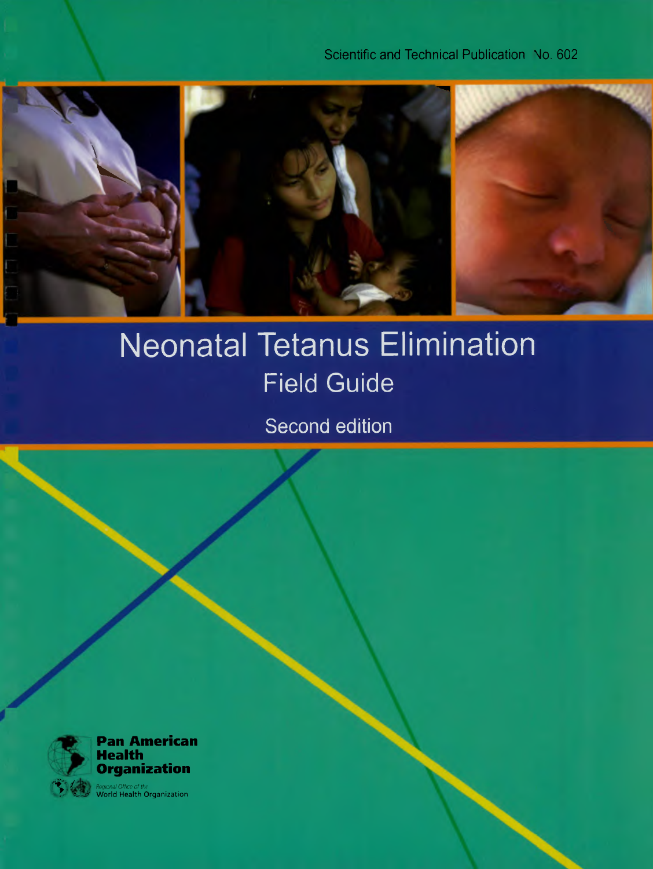Scientific and Technical Publication No. 602



## **Neonatal Tetanus Elimination Field Guide**

Second edition

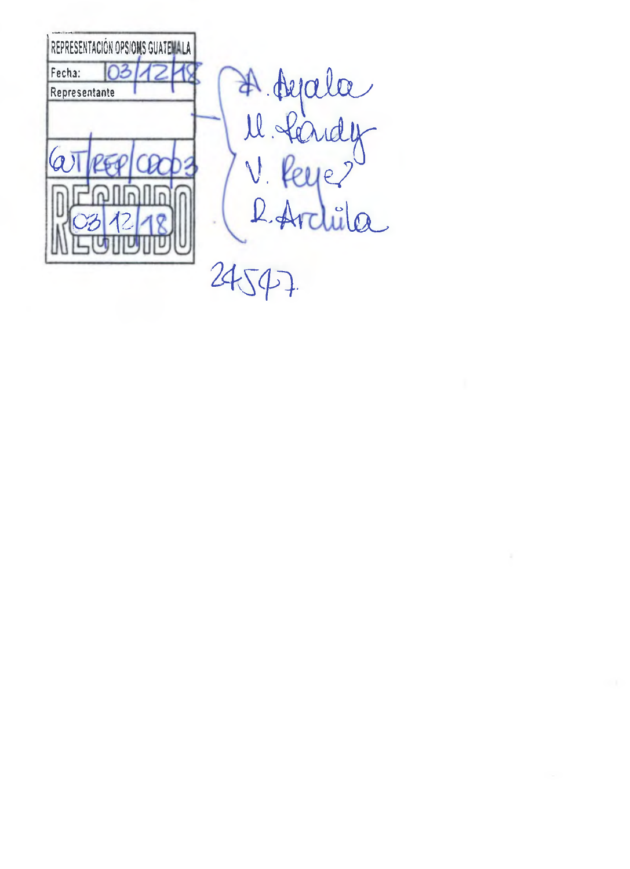

A. Ayala<br>U. Handy<br>V. Reye?<br>L. Archila 24547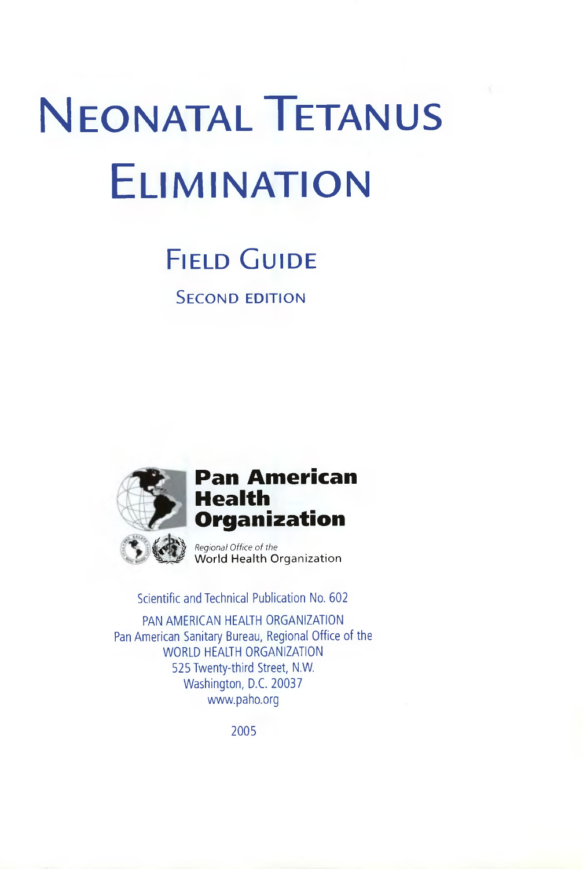# **NEONATAL TETANUS** ELIMINATION

## FIELD GUIDE

SECOND EDITION



## **,. Pan American Health Organization**

Regional Office of the World Health Organization

Scientific and Technical Publication No. 602

PAN AMERICAN HEALTH ORGANIZATION Pan American Sanitary Bureau, Regional Office of the WORLD HEALTH ORGANIZATION 525 Twenty-third Street, N.W. Washington, D.C. 20037 www.paho.org

2005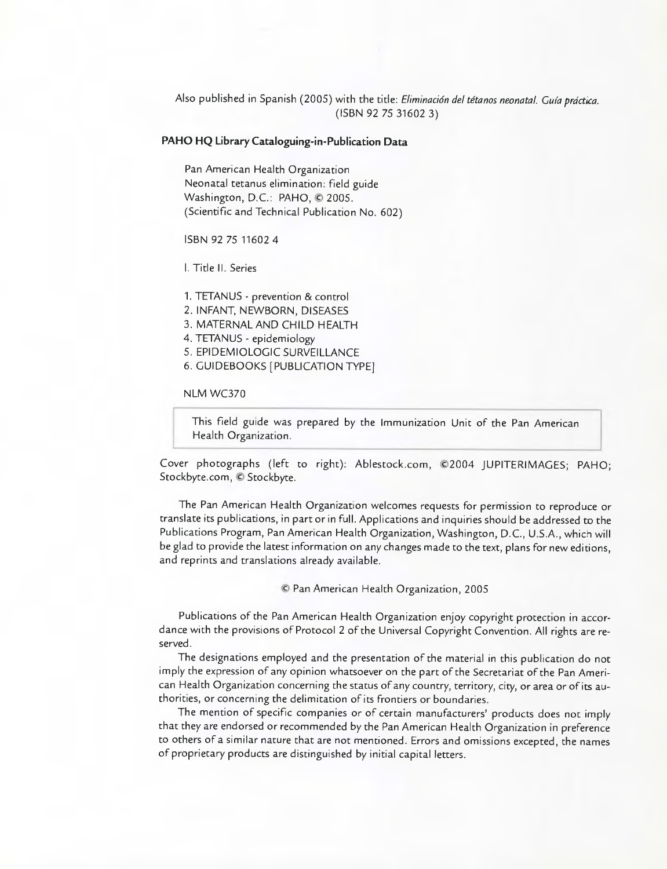Also published in Spanish (2005) with the title: Eliminación del tétanos neonatal. Guía práctica. (ISBN 92 75 31602 3)

#### **PAHO HQ Library Cataloguing-in-Publication Data**

Pan American Health Organization Neonatal tetanus elimination: field guide Washington, D.C.: PAHO, © 2005. (Scientific and Technical Publication No. 602)

ISBN 92 75 11602 4

1. Title H. Series

1. TETANUS - prevention & control

2. INFANT, NEWBORN, DISEASES

- 3. MATERNAL AND CHILD HEALTH
- 4. TETANUS epidemiology

S. EPIDEMIOLOGIC SURVEILLANCE

6. GUIDEBOOKS [PUBLICATION TYPE]

NLM WC370

This field guide was prepared by the lmmunization Unit of the Pan American Health Organization.

Cover photographs (Ieft to right): Ablestock.com, ©2004 JUPITERIMAGES; PAHO; Stockbyte.com, © Stockbyte.

The Pan American Health Organization welcomes requests for permissíon to reproduce or translate its publications, in part or in fulI. Applications and inquines should be addressed to the Publications Program, Pan American Health Organization, Washington, D.C., U.S.A., which will be glad to provide the Iatest information on any changes made to the text, plans for new editions, and reprints and translations already available.

© Pan American Health Organization, 2005

Publications of the Pan American Health Organization enjoy copyright protection in accordance with the provisions of Protocol 2 of the Universal Copyright Convention. All rights are reserved.

The designations employed and the presentation of the material in this publication do not imply the expression of any opinion whatsoever on the part of the Secretariat of the Pan American Health Organization concerning the status of any country, territory, city, or area or of its authorities, or concerning the delimitation of its frontiers or boundaries.

The mention of specific companies or of certain manufacturers' products does not imply that they are endorsed or recommended by the Pan American Health Organization in preference to others of a similar nature that are not mentioned. Errors and omissions excepted, the names of propnietary products are distinguished by initial capital letters.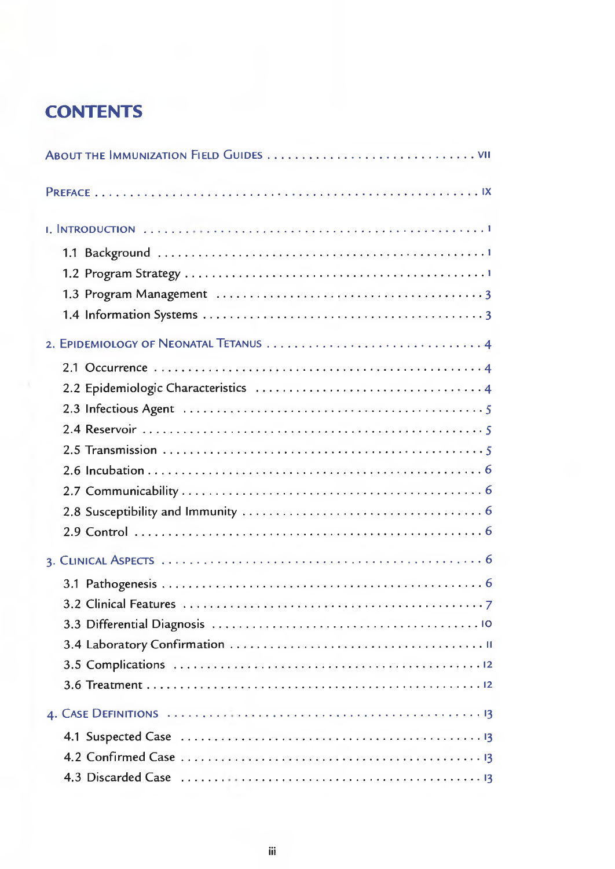## **CONTENTS**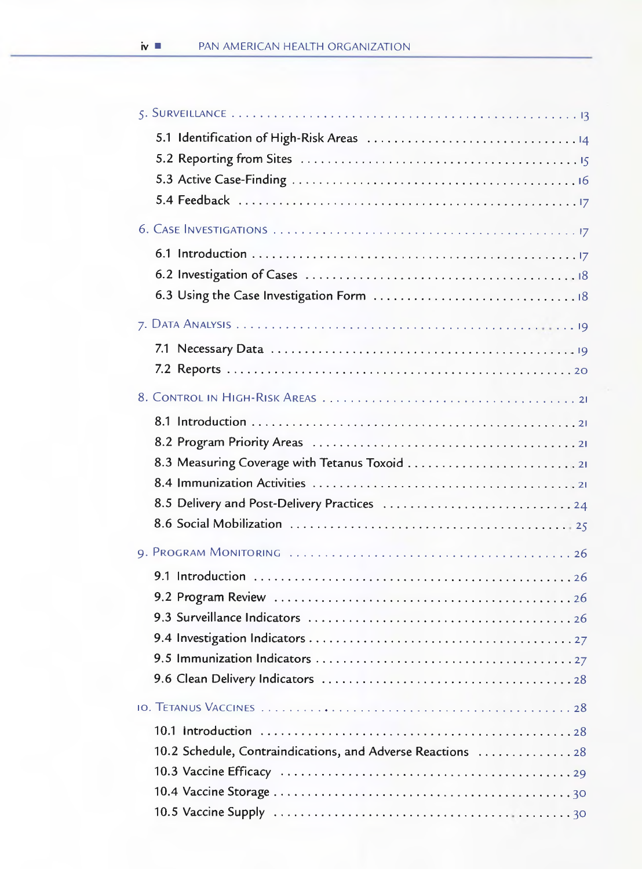| 8.3 Measuring Coverage with Tetanus Toxoid 21               |  |
|-------------------------------------------------------------|--|
|                                                             |  |
|                                                             |  |
|                                                             |  |
|                                                             |  |
|                                                             |  |
|                                                             |  |
|                                                             |  |
|                                                             |  |
|                                                             |  |
|                                                             |  |
|                                                             |  |
|                                                             |  |
|                                                             |  |
| 10.2 Schedule, Contraindications, and Adverse Reactions  28 |  |
|                                                             |  |
|                                                             |  |
|                                                             |  |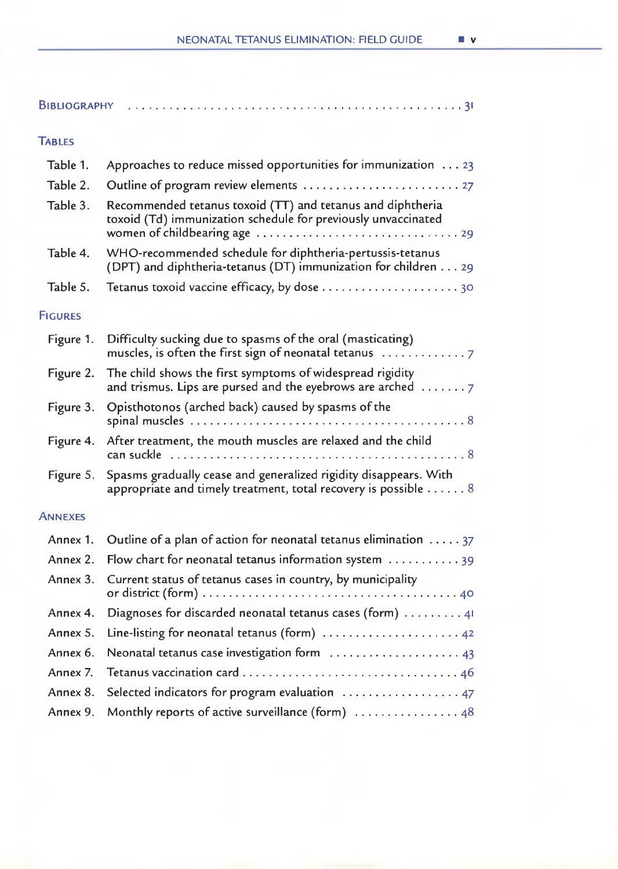| <b>BIBLIOGRAPHY</b> |                                                                                                                                                                                                                                  |
|---------------------|----------------------------------------------------------------------------------------------------------------------------------------------------------------------------------------------------------------------------------|
| <b>TABLES</b>       |                                                                                                                                                                                                                                  |
| Table 1.            | Approaches to reduce missed opportunities for immunization $\dots$ 23                                                                                                                                                            |
| Table 2.            |                                                                                                                                                                                                                                  |
| Table 3.            | Recommended tetanus toxoid (TT) and tetanus and diphtheria<br>toxoid (Td) immunization schedule for previously unvaccinated<br>women of childbearing age $\ldots \ldots \ldots \ldots \ldots \ldots \ldots \ldots \ldots \ldots$ |
| Table 4.            | WHO-recommended schedule for diphtheria-pertussis-tetanus<br>(DPT) and diphtheria-tetanus (DT) immunization for children 29                                                                                                      |
| Table 5.            |                                                                                                                                                                                                                                  |
| <b>FIGURES</b>      |                                                                                                                                                                                                                                  |
| Figure 1.           | Difficulty sucking due to spasms of the oral (masticating)                                                                                                                                                                       |
| Figure 2.           | The child shows the first symptoms of widespread rigidity<br>and trismus. Lips are pursed and the eyebrows are arched $\ldots \ldots$                                                                                            |
| Figure 3.           | Opisthotonos (arched back) caused by spasms of the                                                                                                                                                                               |
| Figure 4.           | After treatment, the mouth muscles are relaxed and the child                                                                                                                                                                     |
| Figure 5.           | Spasms gradually cease and generalized rigidity disappears. With<br>appropriate and timely treatment, total recovery is possible 8                                                                                               |
| <b>ANNEXES</b>      |                                                                                                                                                                                                                                  |
| Annex 1.            | Outline of a plan of action for neonatal tetanus elimination $\dots$ 37                                                                                                                                                          |
| Annex 2.            | Flow chart for neonatal tetanus information system $\dots\dots\dots\dots$                                                                                                                                                        |
| Annex 3.            | Current status of tetanus cases in country, by municipality                                                                                                                                                                      |
| Annex 4.            | Diagnoses for discarded neonatal tetanus cases (form) $\dots \dots$                                                                                                                                                              |
| Annex 5.            | Line-listing for neonatal tetanus (form) $\ldots \ldots \ldots \ldots \ldots \ldots$                                                                                                                                             |
| Annex 6.            | Neonatal tetanus case investigation form  43                                                                                                                                                                                     |
| Annex 7.            |                                                                                                                                                                                                                                  |
| Annex 8.            | Selected indicators for program evaluation  47                                                                                                                                                                                   |
| Annex 9.            | Monthly reports of active surveillance (form) $\ldots \ldots \ldots \ldots$ 48                                                                                                                                                   |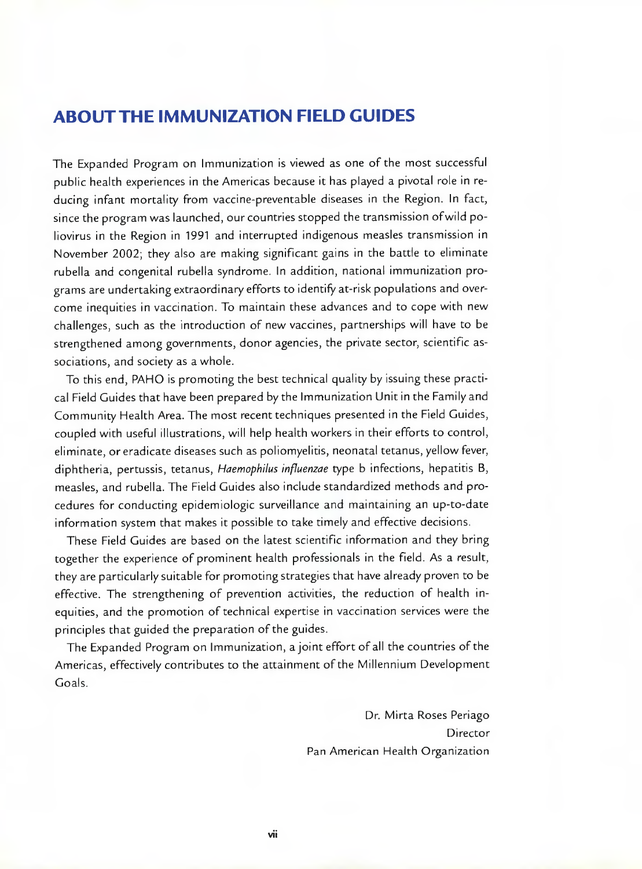## **ABOUTTHE IMMUNIZATION FIELD GUIDES**

The Expanded Program on immunization is viewed as one of the most successfui pubiic health experiences in the Americas because it has played a pivotal role in reducing infant mortaiity from vaccine-preventable diseases in the Region. In fact, since the program was launched, our countries stopped the transmission ofwild poliovirus in the Region in 1991 and interrupted indigenous measles transmission in November 2002; they also are making significant gains in the battle to eliminate rubella and congenital rubella syndrome. in addition, national immunization programs are undertaking extraordinary efforts to identify at-risk populations and overcome inequities in vaccination. To maintain these advances and to cope with new challenges, such as the introduction of new vaccines, partnerships will have to be strengthened among governments, donor agencies, the private sector, scientific associations, and society as a whole.

To this end, PAHO is promoting the best technicai quaiity by issuing these practical Field Guides that have been prepared by the Immunization Unit in the Family and Community Health Area. The most recent techniques presented in the Field Guides, coupled with useful illustrations, wili heip health workers in their efforts to control, eliminate, or eradicate diseases such as poliomyelitis, neonatal tetanus, yellow fever, diphtheria, pertussis, tetanus, Haemophilus influenzae type b infections, hepatitis B, measles, and rubella. The Field Guides also include standardized methods and procedures for conducting epidemiologic surveillance and maintaining an up-to-date information system that makes it possible to take timely and effective decisions.

These Field Guides are based on the latest scientific information and they bring together the experience of prominent health professionals in the field. As a result, they are particulariy suitable for promoting strategies that have aiready proven to be effective. The strengthening of prevention activities, the reduction of health inequities, and the promotion of technical expertise in vaccination services were the principies that guided the preparation of the guides.

The Expanded Program on Immunization, a joint effort of all the countries of the Americas, effectively contributes to the attainment of the Millennium Development Goals.

> Dr. Mirta Roses Periago Director Pan American Health Organization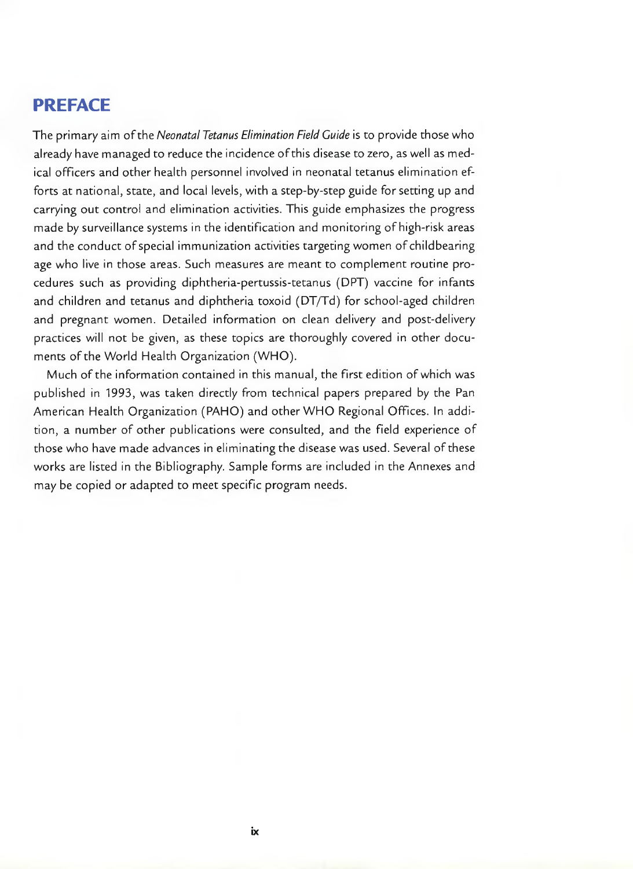## **PREFACE**

The primary aim of the Neonatal Tetanus Elimination Field Guide is to provide those who already have managed to reduce the incidence ofthis disease to zero, as well as medical officers and other health personnel involved in neonatal tetanus elimination efforts at national, state, and local levels, with a step-by-step guide for setting up and carrying out control and elimination activities. This guide emphasizes the progress made by surveillance systems in the identification and monitoring of high-risk areas and the conduct of special immunization activities targeting women of childbearing age who live in those areas. Such measures are meant to complement routine procedures such as providing diphtheria-pertussis-tetanus (DPT) vaccine for infants and children and tetanus and diphtheria toxoid (DT/Td) for school-aged children and pregnant women. Detailed information on clean delivery and post-delivery practices will not be given, as these topics are thoroughly covered in other documents of the World Health Organization (WHO).

Much of the information contained in this manual, the first edition of which was published in 1993, was taken directly from technical papers prepared by the Pan American Health Organization (PAHO) and other WHO Regional Offices. In addition, a number of other publications were consulted, and the field experience of those who have made advances in eliminating the disease was used. Several of these works are listed in the Bibliography. Sample forms are included in the Annexes and may be copied or adapted to meet specific program needs.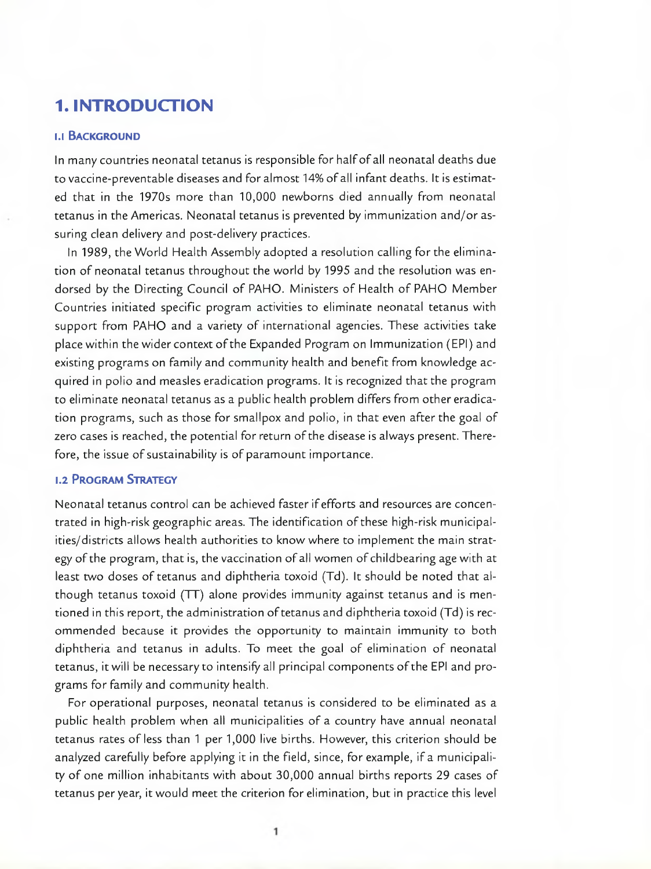## **1. INTRODUCTION**

#### **1.1 BACKGROUND**

In many countries neonatal tetanus is responsible for half of all neonatal deaths due to vaccine-preventable diseases and for almost 14% of all infant deaths. It is estimated that in the 1970s more than 10,000 newborns died annually from neonatal tetanus in the Americas. Neonatal tetanus is prevented by immunization and/or assuring clean delivery and post-delivery practices.

In 1989, the World Health Assembly adopted a resolution calling for the elimination of neonatal tetanus throughout the world by 1995 and the resolution was endorsed by the Directing Council of PAHO. Ministers of Health of PAHO Member Countries initiated specific program activities to eliminate neonatal tetanus with support from PAHO and a variety of international agencies. These activities take place within the wider context of the Expanded Program on Immunization (EPI) and existing programs on family and community health and benefit from knowledge acquired in polio and measles eradication programs. It is recognized that the program to eliminate neonatal tetanus as a public health problem differs from othereradication programs, such as those for smallpox and polio, in that even after the goal of zero cases is reached, the potential for return of the disease is always present. Therefore, the issue of sustainability is of paramount importance.

#### **1.2 PROGRAM STRATEGY**

Neonatal tetanus control can be achieved faster ifefforts and resources are concentrated in high-risk geographic areas. The identification of these high-risk municipalities/districts allows health authorities to know where to implement the main strategy of the program, that is, the vaccination of all women of childbearing age with at least two doses of tetanus and diphtheria toxoid (Td). It should be noted that although tetanus toxoid (TT) alone provides immunity against tetanus and is mentioned in this report, the administration of tetanus and diphtheria toxoid (Td) is recommended because it provides the opportunity to maintain immunity to both diphtheria and tetanus in adults. To meet the goal of elimination of neonatal tetanus, it will be necessary to intensify all principal components of the EPI and programs for family and community health.

For operational purposes, neonatal tetanus is considered to be eliminated as a public health problem when al¡ municipalities of a country have annual neonatal tetanus rates of less than 1 per 1,000 live births. However, this criterion should be analyzed carefully before applying it in the field, since, for example, if a municipality of one million inhabitants with about 30,000 annual births reports 29 cases of tetanus per year, it would meet the criterion for elimination, but in practice this level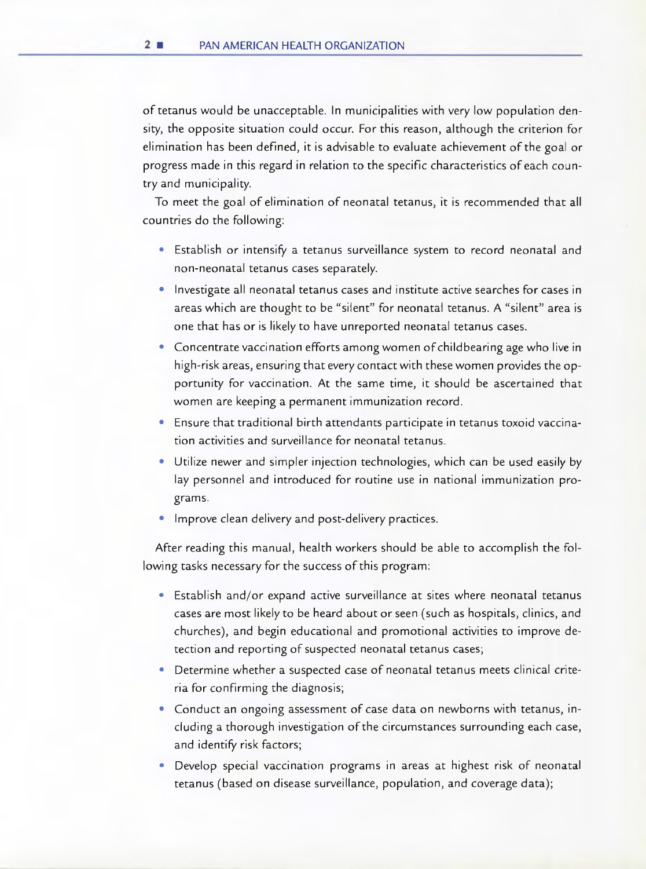of tetanus would be unacceptable. In municipalities with very low population density, the opposite situation could occur. For this reason, although the criterion for elimination has been defined, it is advisable to evaluate achievement of the goal or progress made in this regard in relation to the speciflc characteristics ofeach country and munícipality.

To meet the goal of elimination of neonatal tetanus, it is recommended that ah countries do the following:

- Establish or intensify a tetanus surveillance system to record neonatal and non-neonatal tetanus cases separately.
- Investigate all neonatal tetanus cases and institute active searches for cases in areas which are thought to be "silent" for neonatal tetanus. A "silent" area is one that has or is likely to have unreported neonatal tetanus cases.
- Concentrate vaccination efforts among women of childbearing age who live in high-risk areas, ensuring that every contact with these women provides the opportunity for vaccination. At the same time, it should be ascertained that women are keeping a permanent immunization record.
- Ensure that traditional birth attendants participate in tetanus toxoid vaccination activities and surveillance for neonatal tetanus.
- Utilize newer and simpler injection technologies, which can be used easily by lay personnel and introduced for routine use in national immunization programs.
- Improve clean delivery and post-delivery practices.

After reading this manual, health workers should be able to accomphish the following tasks necessary for the success of this program:

- Establish and/or expand active surveillance at sites where neonatal tetanus cases are most likely to be heard about or seen (such as hospitals, clinics, and churches), and begin educational and promotional activities to improve detection and reporting of suspected neonatal tetanus cases;
- Determine whether a suspected case of neonatal tetanus meets clinical criteria for confirming the diagnosis;
- Conduct an ongoing assessment of case data on newborns with tetanus, including a thorough investigation of the circumstances surrounding each case, and identify risk factors;
- Develop special vaccination programs in areas at highest risk of neonatal tetanus (based on disease surveillance, population, and coverage data);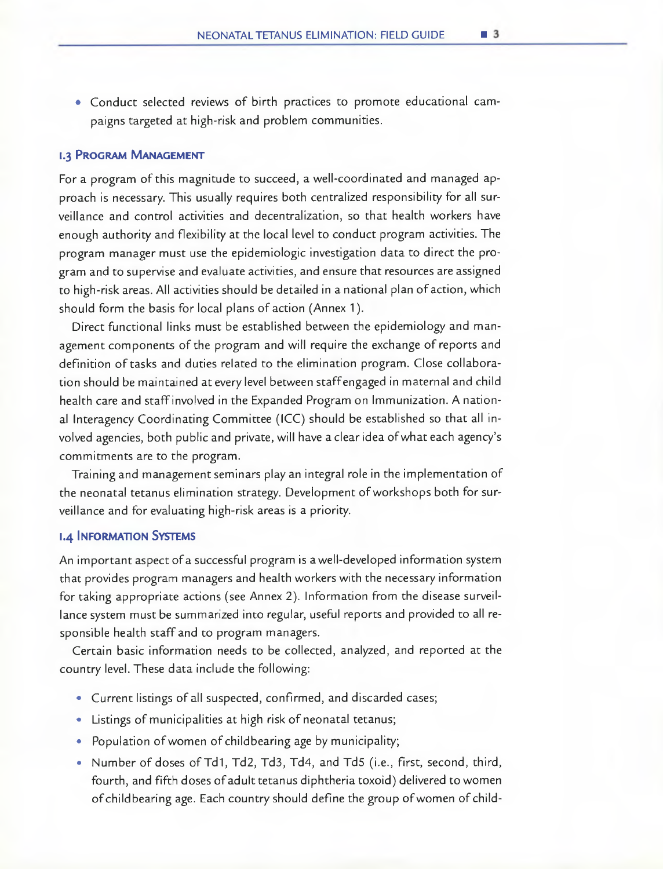• Conduct selected reviews of birth practices to promote educational campaigns targeted at high-risk and problem communities.

#### **1.3 PROGRAM MANAGEMENT**

For a program of this magnitude to succeed, a well-coordinated and managed approach is necessary. This usually requires both centralized responsibility for all surveillance and control activities and decentralization, so that health workers have enough authority and flexibility at the local level to conduct program activities. The program manager must use the epidemiologic investigation data to direct the program and to supervise and evaluate activities, and ensure that resources are assigned to high-risk areas. All activities should be detailed in a national plan of action, which should form the basis for local plans of action (Annex 1).

Direct functional links must be established between the epidemiology and management components of the program and will require the exchange of reports and definition of tasks and duties related to the elimination program. Close collaboration should be maintained at every level between staff engaged in maternal and child health care and staff involved in the Expanded Program on lmmunization. A national Interagency Coordinating Committee (ICC) should be established so that all involved agencies, both pubhic and private, will have a clear idea ofwhat each agency's commitments are to the program.

Training and management seminars play an integral role in the implementation of the neonatal tetanus elimination strategy. Development ofworkshops both for surveillance and for evaluating high-risk areas is a priority.

#### **1.4 INFORMATION SYSTEMS**

An important aspect of a successful program is a well-developed information system that provides program managers and health workers with the necessary information for taking appropriate actions (see Annex 2). Information from the disease surveillance system must be summarized into regular, useful reports and provided to alI responsible health staff and to program managers.

Certain basic information needs to be collected, analyzed, and reported at the country level. These data include the following:

- Current listings of all suspected, confirmed, and discarded cases;
- Listings of municipalities at high risk of neonatal tetanus;
- Population of women of childbearing age by municipality;
- Number of doses of Td1, Td2, Td3, Td4, and Td5 (i.e., first, second, third, fourth, and fifth doses of adult tetanus diphtheria toxoid) delivered to women of childbearing age. Each country should define the group of women of child-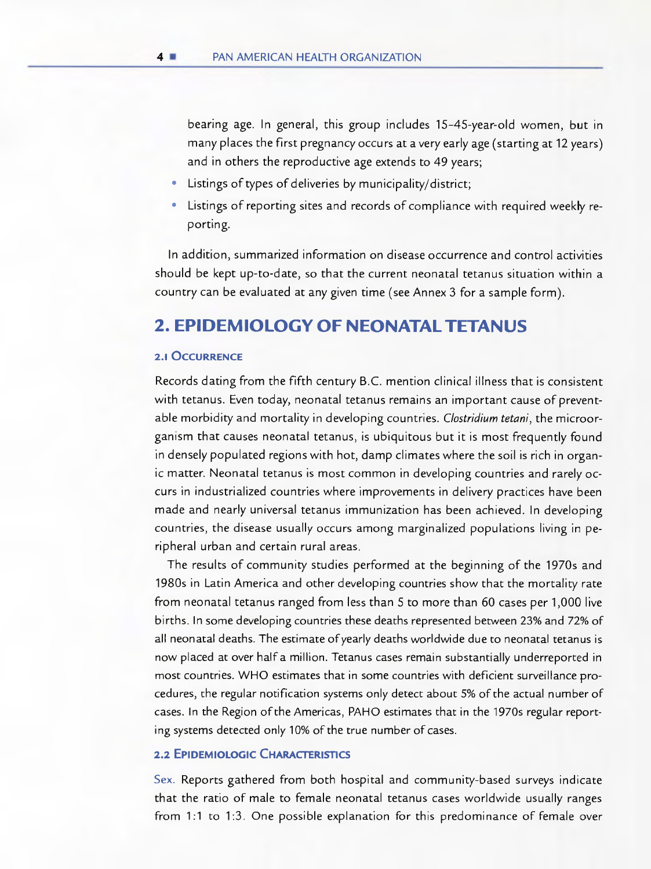bearing age. In general, this group includes 15-45-year-old women, but in many places the first pregnancy occurs at a very early age (starting at 12 years) and in others the reproductive age extends to 49 years;

- Listings of types of deliveries by municipality/district;
- Listings of reporting sites and records of compliance with required weekly reporting.

In addition, summarized information on disease occurrence and control activities should be kept up-to-date, so that the current neonatal tetanus situation within a country can be evaluated at any given time (see Annex 3 for a sample form).

## **2. EPIDEMIOLOGY OF NEONATALTETANUS**

#### **2.1 OCCURRENCE**

Records dating from the fifth century B.C. mention clinical illness that is consistent with tetanus. Even today, neonatal tetanus remains an important cause of preventable morbidity and mortality in developing countries. Clostridium tetani, the microorganism that causes neonatal tetanus, is ubiquitous but it is most frequently found in densely populated regions with hot, damp climates where the soil is rich in organic matter. Neonatal tetanus is most common in developing countries and rarely occurs in industrialized countries where improvements in delivery practices have been made and nearly universal tetanus immunization has been achieved. In developing countries, the disease usually occurs among marginalized populations living in peripheral urban and certain rural areas.

The results of community studies performed at the beginning of the 1970s and 1980s in Latin America and other developing countries show that the mortality rate from neonatal tetanus ranged from less than 5 to more than 60 cases per 1,000 live births. In sorne developing countries these deaths represented between 23% and 72% of all neonatal deaths. The estimate of yearly deaths worldwide due to neonatal tetanus is now placed at over half a million. Tetanus cases remain substantially underreported in most countries. WHO estimates that in sorne countries with deficient surveillance procedures, the regular notification systems only detect about 5% of the actual number of cases. In the Region of the Americas, PAHO estimates that in the 1970s regular reportng systems detected only 10% of the true number of cases.

#### **2.2 EPIDEMIOLOGIC CHARACTERISTICS**

Sex. Reports gathered from both hospital and community-based surveys indicate that the ratio of male to female neonatal tetanus cases worldwide usually ranges from 1:1 to 1:3. One possible explanation for this predominance of female over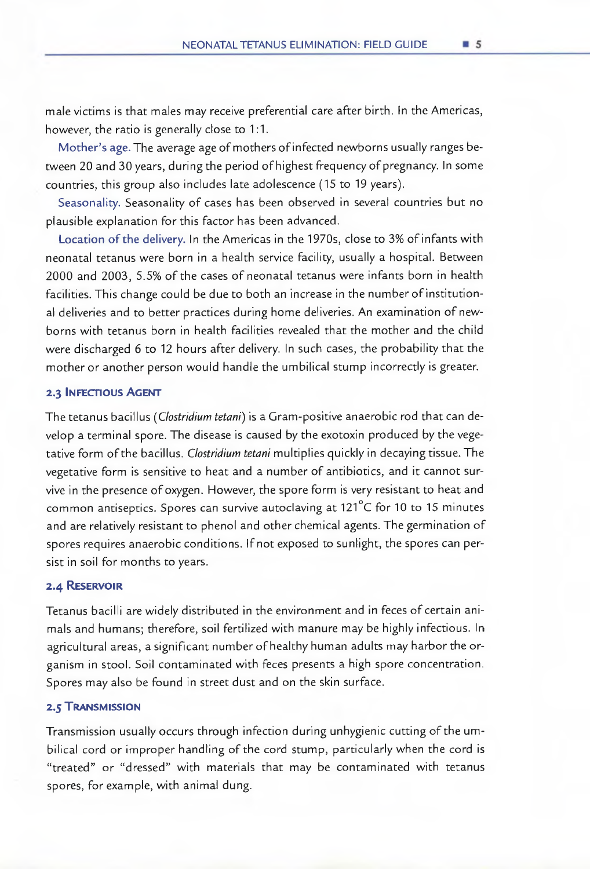male victims is that males may receive preferential care after birth. In the Americas, however, the ratio is generally close to 1:1.

Mother's age. The average age of mothers of infected newborns usually ranges between 20 and 30 years, during the period of highest frequency of pregnancy. In some countries, this group also includes late adolescence (15 to 19 years).

Seasonality. Seasonality of cases has been observed in several countries but no plausible explanation for this factor has been advanced.

Location of the delivery. In the Arnericas in the 1970s, close to 3% of infants with neonatal tetanus were born in a health service facility, usually a hospital. Between 2000 and 2003, 5.5% of the cases of neonatal tetanus were infants born in health facilities. This change could be due to both an increase in the nurnber ofinstitutional deliveries and to better practices during horne deliveries. An examination of newborns with tetanus born in health facilities revealed that the mother and the child were discharged 6 to 12 hours after delivery. In such cases, the probability that the rnother or another person would handie the umbilical stump incorrectly is greater.

#### **2.3 INFECflOUS AGENT**

The tetanus bacillus (Clostridium tetani) is a Gram-positive anaerobic rod that can develop a terminal spore. The disease is caused by the exotoxin produced by the vegetative form of the bacillus. Clostridium tetani multiplies quickly in decaying tissue. The vegetative form is sensitive to heat and a nurnber of antibiotics, and it cannot survive in the presence of oxygen. However, the spore form is very resistant to heat and common antiseptics. Spores can survive autoclaving at 121°C for 10 to 15 minutes and are relatively resistant to phenol and other chemical agents. The gerrnination of spores requires anaerobic conditions. Ifnot exposed to sunlight, the spores can persist in soil for months to years.

#### **2.4 RESERVOIR**

Tetanus bacilli are widely distributed in the environment and in feces of certain animals and humans; therefore, soil fertilized with manure may be highly infectious. In agricultural areas, a significant number of healthy human adults may harbor the organism in stool. Soil contaminated with feces presents a high spore concentration. Spores may also be found in street dust and on the skin surface.

#### **2.5 TRANSMISSION**

Transmission usually occurs through infection during unhygienic cutting of the umbilical cord or improper handling of the cord stump, particularly when the cord is "treated" or "dressed" with materials that may be contaminated with tetanus spores, for example, with animal dung.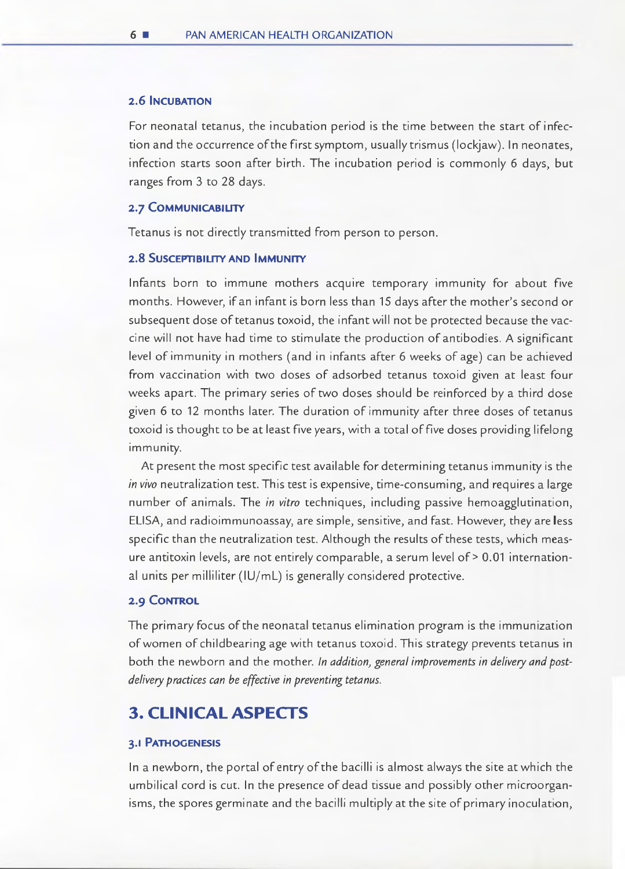#### **2.6 INCUBATION**

For neonatal tetanus, the incubation period is the time between the start of infection and the occurrence of the first symptom, usually trismus (lockjaw). In neonates, infection starts soon after birth. The incubation period is commonly 6 days, but ranges from 3 to 28 days.

#### **2.7 COMMUNICABIUIY**

Tetanus is not directly transmitted from person to person.

#### **2.8 SUSCEPTIBILITY AND IMMUNITY**

lnfants born to immune mothers acquire temporary immunity for about five months. However, ifan infant is born less than 15 days after the mother's second or subsequent dose of tetanus toxoid, the infant will not be protected because the yaccine will not have had time to stimulate the production of antibodies. A significant level of immunity in mothers (and in infants after 6 weeks of age) can be achieved from vaccination with two doses of adsorbed tetanus toxoid given at least four weeks apart. The primary series of two doses should be reinforced by a third dose given 6 to 12 months later. The duration of immunity after three doses of tetanus toxoid is thought to be at least five years, with a total of five doses providing lifelong immunity.

At present the most specific test available for determining tetanus immunity is the in vivo neutralization test. This test is expensive, time-consuming, and requires a large number of animals. The in vitro techniques, including passive hemoagglutination, ELISA, and radioimmunoassay, are simple, sensitive, and fast. However, they are **Iess**  specific than the neutralization test. Although the results of these tests, which measure antitoxin levels, are not entirely comparable, a serum level of> 0.01 international units per milliliter (IU/mL) is generally considered protective.

#### **2.9 CONTROL**

The primary focus of the neonatal tetanus elimination program is the immunization of women ofchildbearing age with tetanus toxoid. This strategy prevents tetanus in both the newborn and the mother. In addition, general improvements in delivery and postdelivery practices can be effective in preventing tetanus.

### **3. CLINICALASPECTS**

#### **3.1 PATHOGENESIS**

In a newborn, the portal ofentry of the bacilli is almost always the site at which the umbilical cord is cut. In the presence of dead tissue and possibly other microorganisms, the spores germinate and the bacilli multiply at the site of primary inoculation,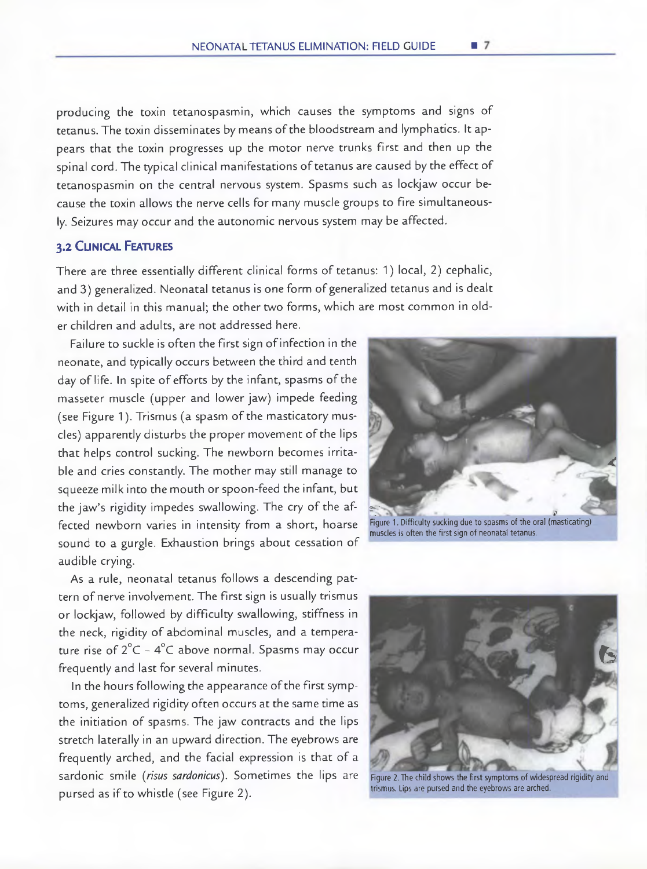producing the toxin tetanospasmin, which causes the symptoms and signs of tetanus. The toxin disseminates by means of the bloodstream and lymphatics. It appears that the toxin progresses up the motor nerve trunks first and then up the spinal cord. The typical clinical manifestations of tetanus are caused by the effect of tetanospasmin on the central nervous system. Spasms such as lockjaw occur because the toxin allows the nerve cells for many muscle groups to fire simultaneously. Seizures may occur and the autonomic nervous system may be affected.

#### **3.2 CLINICAL FEATURES**

There are three essentially different clinical forms of tetanus: 1) local, 2) cephalic, and 3) generalized. Neonatal tetanus is one form of generalized tetanus and is dealt with in detail in this manual; the other two forms, which are most common in older children and adults, are not addressed here.

Failure to suckle is often the first sign of infection in the neonate, and typically occurs between the third and tenth day of life. In spite of efforts by the infant, spasms of the masseter muscle (upper and lower jaw) impede feeding (see Figure 1). Trismus (a spasm of the masticatory muscles) apparently disturbs the proper movement of the lips that helps control sucking. The newborn becomes irritable and cries constantly. The mother may still manage to squeeze milk into the mouth or spoon-feed the infant, but the jaw's rigidity impedes swallowing. The cry of the affected newborn varies in intensity from a short, hoarse sound to a gurgle. Exhaustion brings about cessation of audible crying.

As a rule, neonatal tetanus follows a descending pattern of nerve involvement. The first sign is usually trismus or lockjaw, followed by difficulty swallowing, stiffness in the neck, rigidity of abdominal muscles, and a temperature rise of  $2^{\circ}$ C -  $4^{\circ}$ C above normal. Spasms may occur frequently and last for several minutes.

In the hours following the appearance of the first symptoms, generalized rigidity often occurs at the same time as the initiation of spasms. The jaw contracts and the lips stretch laterally in an upward direction. The eyebrows are frequently arched, and the facial expression is that of a sardonic smile (risus sardonicus). Sometimes the lips are pursed as ifto whistle (see Figure 2).



muscles is often the first sign of neonatal tetanus.



Figure 2. The child shows the first symptoms of widespread rigidity and trismus. Lips are pursed and the eyebrows are arched.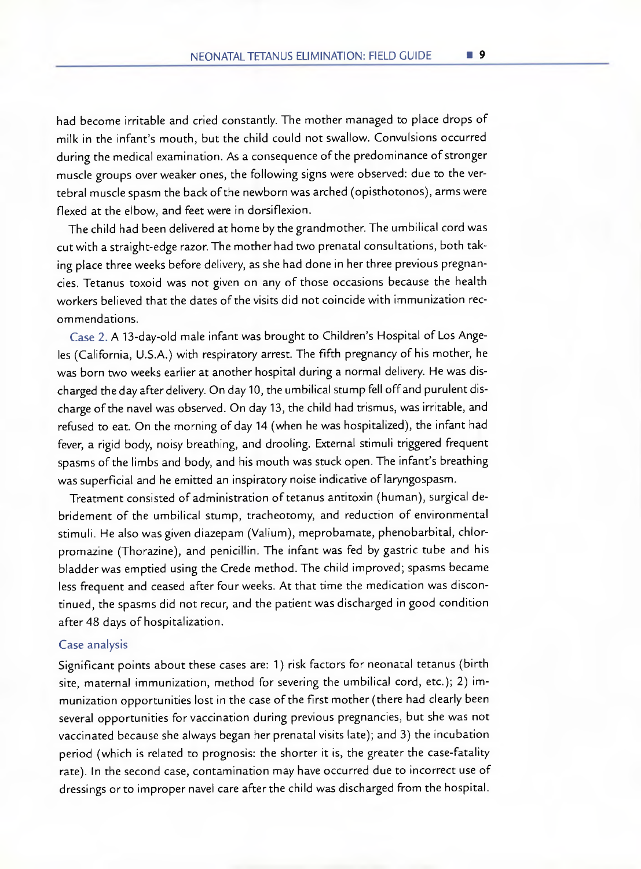had become irritable and cried constantly. The mother managed to place drops of milk in the infant's mouth, but the child could not swallow. Convulsions occurred during the medical examination. As a consequence of the predominance of stronger muscle groups over weaker ones, the following signs were observed: due to the vertebral muscle spasm the back of the newborn was arched (opisthotonos), arms were flexed at the elbow, and feet were in dorsiflexion.

The child had been delivered at home by the grandmother. The umbilical cord was cut with a straight-edge razor. The mother had two prenatal consultations, both taking place three weeks before delivery, as she had done in her three previous pregnancies. Tetanus toxoid was not given on any of those occasions because the health workers believed that the dates of the visits did not coincide with immunization recommendations.

Case 2. A 13-day-old male infant was brought to Children's Hospital of Los Angeles (California, U.S.A.) with respiratory arrest. The fifth pregnancy of his mother, he was born two weeks earlier at another hospital during a normal delivery. He was discharged the day after delivery. On day 10, the umbilical stump fell off and purulent discharge of the navel was observed. On day 13, the child had trismus, was irritable, and refused to eat. On the morning of day 14 (when he was hospitalized), the infant had fever, a rigid body, noisy breathing, and drooling. External stimuli triggered frequent spasms of the limbs and body, and his mouth was stuck open. The infant's breathing was superficial and he emitted an inspiratory noise indicative of laryngospasm.

Treatment consisted of administration of tetanus antitoxin (human), surgical debridement of the umbilical stump, tracheotomy, and reduction of environmental stimuli. He also was given diazepam (Valium), meprobamate, phenobarbital, chlorpromazine (Thorazine), and penicillin. The infant was fed by gastric tube and his bladder was emptied using the Crede method. The child improved; spasms became less frequent and ceased after four weeks. At that time the medication was discontinued, the spasms did not recur, and the patient was discharged in good condition after 48 days of hospitalization.

#### Case analysis

Significant points about these cases are: 1) risk factors for neonatal tetanus (birth site, maternal immunization, method for severing the umbilical cord, etc.); 2) immunization opportunities lost in the case of the first mother (there had clearly been several opportunities for vaccination during previous pregnancies, but she was not vaccinated because she always began her prenatal visits late); and 3) the incubation period (which is related to prognosis: the shorter it is, the greater the case-fatality rate). In the second case, contamination may have occurred due to incorrect use of dressings or to improper navel care after the child was discharged from the hospital.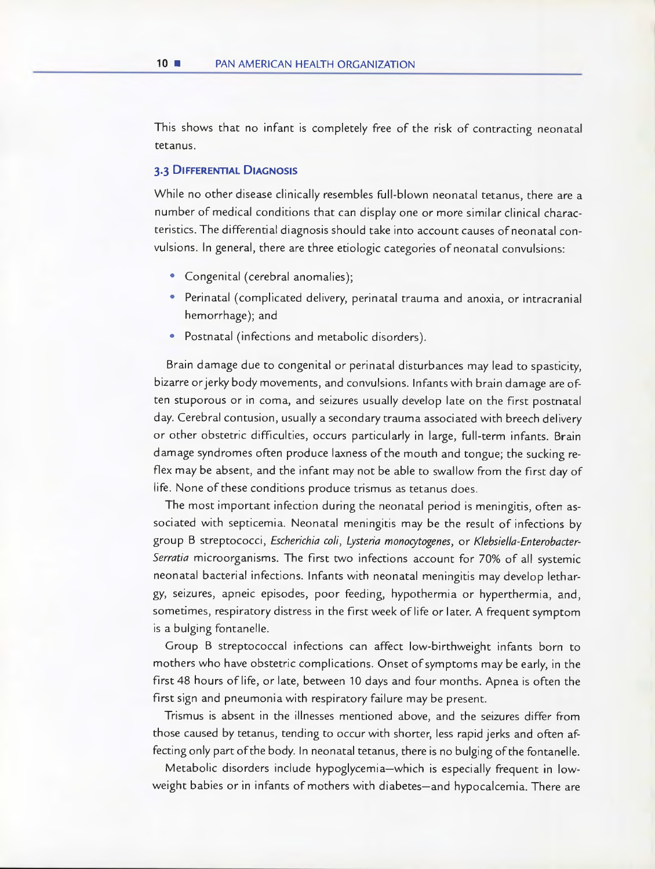This shows that no infant is completely free of the risk of contracting neonatal tetanus.

#### **3.3 DIFFERENTIAL DIAGNOSIS**

While no other disease clinically resembles full-blown neonatal tetanus, there are a number of medical conditions that can display one or more similar clinical characteristics. The differential diagnosis should take into account causes of neonatal convulsions. In general, there are three etiologic categories of neonatal convulsions:

- Congenital (cerebral anomalies);
- Perinatal (complicated delivery, perinatal trauma and anoxia, or intracranial hemorrhage); and
- Postnatal (infections and metabolic disorders).

Brain damage due to congenital or perinatal disturbances may lead to spasticity, bizarre orjerky body movements, and convulsions. Infants with brain damage are often stuporous or in coma, and seizures usually develop late on the first postnatal day. Cerebral contusion, usualiy a secondary trauma associated with breech delivery or other obstetric difficulties, occurs particularly in large, full-term infants. Brain damage syndromes often produce laxness of the mouth and tongue; the sucking refiex may be absent, and the infant may not be able to swallow from the first day of life. None of these conditions produce trismus as tetanus does.

The most important infection during the neonatal period is meningitis, often associated with septicemia. Neonatal meningitis may be the result of infections by group B streptococci, Escherichia coli, Lysteria monoçytogenes, or Klebsiella-Enterobacter-Serratia microorganisms. The first two infections account for 70% of all systemic neonatal bacterial infections. Infants with neonatal meningitis may develop lethargy, seizures, apneic episodes, poor feeding, hypothermia or hyperthermia, and, sometimes, respiratory distress in the first week of life or later. A frequent symptom is a bulging fontanelle.

Group B streptococcal infections can affect low-birthweight infants born to mothers who have obstetric complications. Onset of symptoms may be early, in the first 48 hours of life, or late, between 10 days and four months. Apnea is often the first sign and pneumonia with respiratory failure may be present.

Trismus is absent in the illnesses mentioned aboye, and the seizures differ from those caused by tetanus, tending to occur with shorter, less rapid jerks and often affecting only part of the body. In neonatal tetanus, there is no bulging of the fontanelle.

Metabolic disorders include hypoglycemia—which is especially frequent in lowweight babies or in infants of mothers with diabetes—and hypocalcemia. There are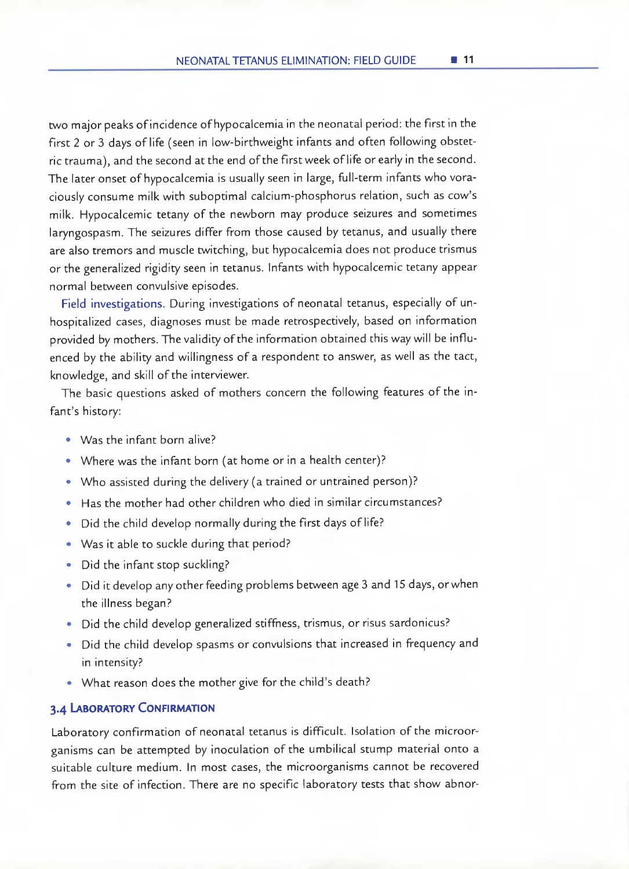two major peaks of incidence of hypocalcemia in the neonatal period: the first in the first 2 or 3 days of life (seen in low-birthweight infants and often following obstetric trauma), and the second at the end of the first week of life or early in the second. The later onset of hypocalcemia is usually seen in large, fui]-term infants who voraciously consume milk with suboptimal calcium-phosphorus relation, such as cow's mitk. Hypocalcemic tetany of the newborn may produce seizures and sometimes laryngospasm. The seizures differ from those caused by tetanus, and usually there are also tremors and muscle twitching, but hypocalcemia does not produce trismus or the generalized rigidity seen in tetanus. lnfants with hypocalcemic tetany appear normal between convulsive episodes.

Field investigations. During investigations of neonatal tetanus, especially of unhospitalized cases, diagnoses must be made retrospectively, based on information provided by mothers. The validity of the information obtained this way will be influenced by the ability and willingness of a respondent to answer, as well as the tact, knowledge, and skill of the interviewer.

The basic questions asked of mothers concern the following features of the infant's history:

- Was the infant born alive?
- Where was the infant born (at home or in a health center)?
- Who assisted during the delivery (a trained or untrained person)?
- Has the mother had other children who died in similar circumstances?
- Did the child develop normally during the first days of life?
- Was it able to suckle during that period?
- Did the infant stop suckling?
- Did it develop any other feeding problems between age 3 and 15 days, or when the illness began?
- Did the child develop generalized stiffness, trismus, or risus sardonicus?
- Did the child develop spasms or convulsions that increased in frequency and in intensity?
- What reason does the mother give for the child's death?

#### **3.4 LABORATORY CONFIRMATION**

Laboratory confirmation of neonatal tetanus is difficult. Isolation of the microorganisms can be attempted by inoculation of the umbilical stump material onto a suitable culture medium. In most cases, the microorganisms cannot be recovered from the site of infection. There are no specific laboratory tests that show abnor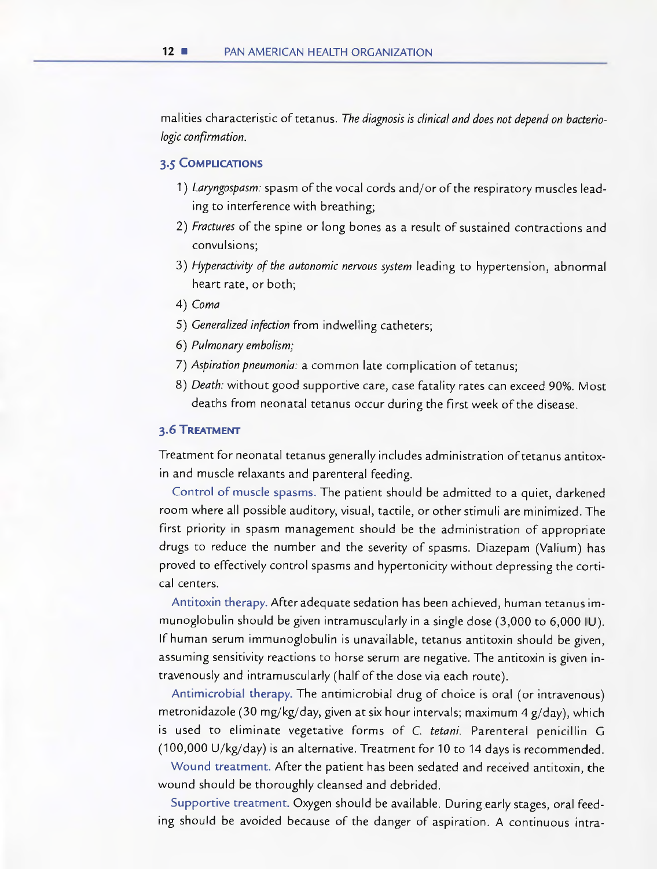malities characteristic of tetanus. The diagnosis is clinical and does not depend on bacteriologic confirmation.

#### **3.5 COMPUCAT1ONS**

- 1) Laryngospasm: spasm of the vocal cords and/or of the respiratory muscles lead ing to interference with breathing;
- 2) Fractures of the spine or long bones as a result of sustained contractions and convulsions;
- 3) Hyperactivity of the autonomic nervous system leading to hypertension, abnormal heart rate, or both;
- 4) Coma
- 5) Generalized infection from indwelling catheters;
- 6) Pulmonary embolism;
- 7) Aspiration pneumonia: a common late complication of tetanus;
- 8) Death: without good supportive care, case fatality rates can exceed 90%. Most deaths from neonatal tetanus occur during the first week of the disease.

#### **3.6 TREATMENT**

Treatment for neonatal tetanus generaily includes administration of tetanus antitoxin and muscle relaxants and parenteral feeding.

Control of muscle spasms. The patient should be admitted to a quiet, darkened room where all possible auditory, visual, tactile, or other stimuli are minimized. The first priority in spasm management should be the administration of appropriate drugs to reduce the number and the severity of spasms. Diazepam (Valium) has proved to effectively control spasms and hypertonicity without depressing the cortical centers.

Antitoxin therapy. Afteradequate sedation has been achieved, human tetanus immunoglobulin should be given intramuscularly in a single dose (3,000 to 6,000 U). If human serum immunoglobulin is unavailable, tetanus antitoxin should be given, assuming sensitivity reactions to horse serum are negative. The antitoxin is given intravenously and intramuscularly (half of the dose via each route).

Antimicrobial therapy. The antimicrobial drug of choice is oral (or intravenous) metronidazole (30 mg/kg/day, given at six hour intervals; maximum 4 g/day), which is used to eliminate vegetative forms of C. tetani. Parenteral penicillin G (100,000 U/kg/day) is an alternative. Treatment for 10 to 14 days is recommended.

Wound treatment. After the patient has been sedated and received antitoxin, the wound should be thoroughly cleansed and debrided.

Supportive treatment. Oxygen should be available. During early stages, oral feeding should be avoided because of the danger of aspiration. A continuous intra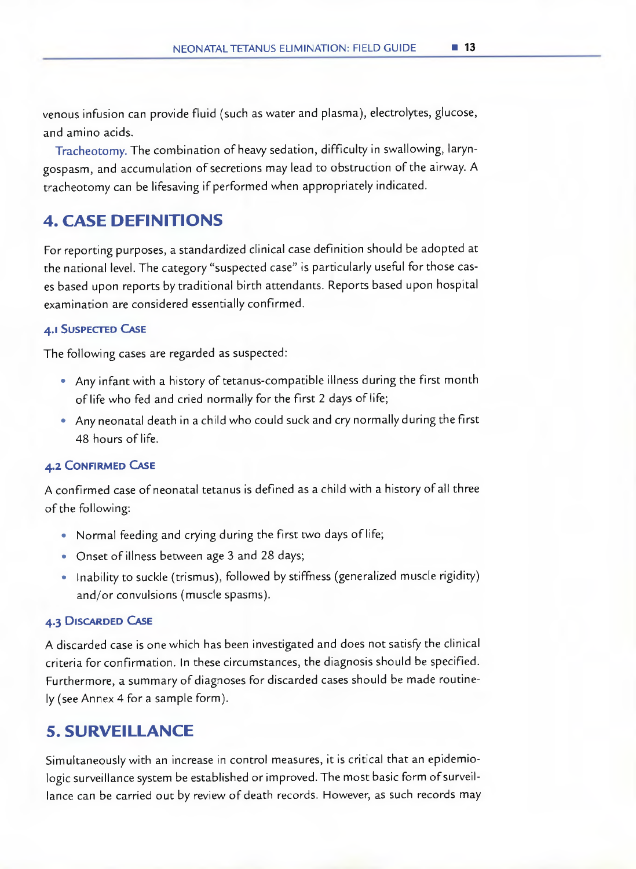venous infusion can provide fluid (such as water and plasma), electrolytes, glucose, and amino acids.

Tracheotomy. The combination of heavy sedation, difficulty in swallowing, laryngospasm, and accumulation of secretions may lead to obstruction of the airway. A tracheotomy can be lifesaving if performed when appropriately indicated.

## **4. CASE DEFINITIONS**

For reporting purposes, a standardized clinical case definition should be adopted at the national level. The category "suspected case" is particularly useful for those cases based upon reports by traditional birth attendants. Reports based upon hospital examination are considered essentially confirmed.

#### **4.1 SUSPECTED CASE**

The foliowing cases are regarded as suspected:

- Any infant with a history of tetanus-compatible illness during the first month of life who fed and cried normally for the first 2 days of life;
- Any neonatal death in a child who could suck and cry normally during the first 48 hours of life.

#### **4.2 CONFIRMED CASE**

A confirmed case of neonatal tetanus is defined as a child with a history of all three of the foliowing:

- Normal feeding and crying during the first two days of life;
- Onset of illness between age 3 and 28 days;
- Inability to suckle (trismus), followed by stiffness (generalized muscle rigidity) and/or convulsions (muscle spasms).

#### **4.3 DISCARDED CASE**

A discarded case is one which has been investigated and does not satisfy the clinical criteria for confirmation. In these circumstances, the diagnosis should be specified. Furthermore, a summary of diagnoses for discarded cases should be made routiney (see Annex 4 for a sample form).

## **S. SURVEILLANCE**

Simultaneously with an increase in control measures, it is critical that an epidemiologic surveillance system be established or improved. The most basic form of surveillance can be carried out by review of death records. However, as such records may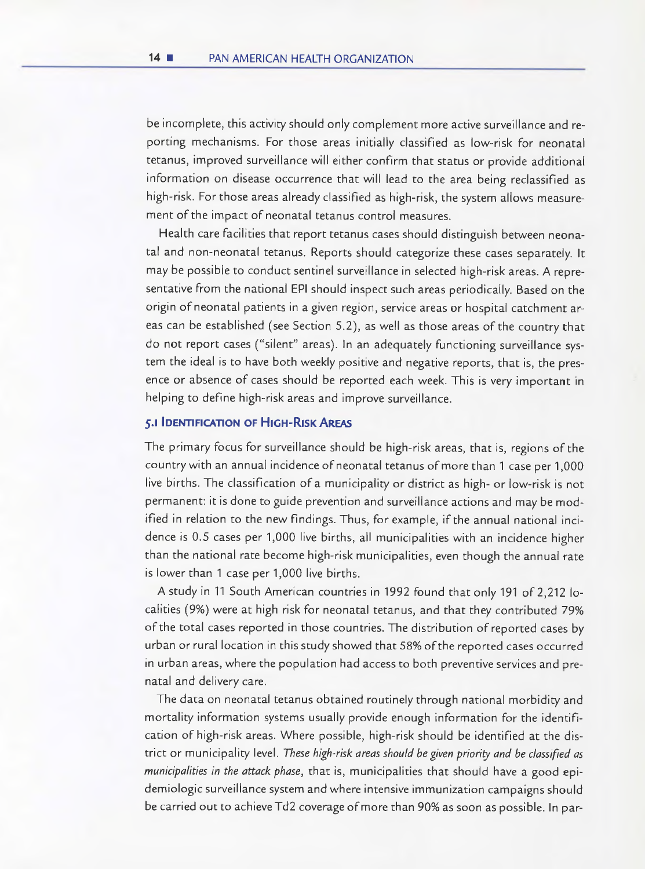be incomplete, this activity should only complement more active surveillance and reporting mechanisms. For those areas initially classified as low-risk for neonatal tetanus, improved surveillance will either confirm that status or provide additional information on disease occurrence that will lead to the area being reclassified as high-risk. For those areas already classified as high-risk, the system aliows measurement of the impact of neonatal tetanus control measures.

Health care facilities that report tetanus cases should distinguish between neonatal and non-neonatal tetanus. Reports should categorize these cases separately. It may be possible to conduct sentinel surveillance in selected high-risk areas. A representative from the national EPI should inspect such areas periodically. Based on the origin of neonatal patients in a given region, service areas or hospital catchment areas can be established (see Section 5.2), as well as those areas of the country that do not report cases ("silent" areas). In an adequately functioning surveillance system the ideal is to have both weekly positive and negative reports, that is, the presence or absence of cases should be reported each week. This is very important in helping to define high-risk areas and improve surveillance.

#### **5.1 IDENTIFICATION OF HIGH-RISKAREAS**

The primary focus for surveillance shouid be high-risk areas, that is, regions of the countrywith an annual incidence of neonatal tetanus of more than 1 case per 1,000 live births. The classification of a municipality or district as high- or low-risk is not permanent: it is done to guide prevention and surveillance actions and may be modified in relation to the new findings. Thus, for example, if the annual national incidence is 0.5 cases per 1,000 live births, all municipalities with an incidence higher than the national rate become high-risk municipalities, even though the annual rate is lower than 1 case per 1,000 live births.

A study in 11 South American countries in 1992 found that only 191 of 2,212 localities (9%) were at high risk for neonatal tetanus, and that they contributed 79% of the total cases reported in those countries. The distribution of reported cases by urban or rural location in this study showed that 58% of the reported cases occured in urban areas, where the population had access to both preventive services and prenatal and delivery care.

The data on neonatal tetanus obtained routinely through national morbidity and mortality information systems usually provide enough information for the identification of high-risk areas. Where possible, high-risk should be identified at the district or municipality level. These high-risk areas should be given priority and be classified as municipalities in the attack phase, that is, municipalities that should have a good epidemiologic surveillance system and where intensive immunization campaigns should be carried out to achieve Td2 coverage of more than 90% as soon as possible. In par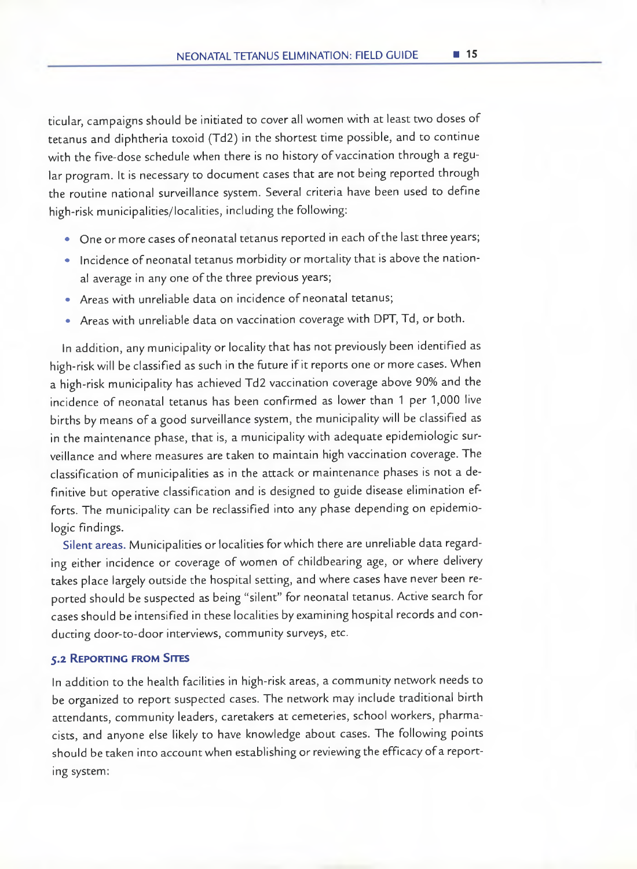ticular, campaigns should be initiated to cover alt women with at least two doses of tetanus and diphtheria toxoid (Td2) in the shortest time possible, and to continue with the five-dose schedule when there is no history of vaccination through a regular program. It is necessary to document cases that are not being reported through the routine national surveillance system. Several criteria have been used to define high-risk municipalities/localities, including the foliowing:

- One or more cases of neonatal tetanus reported in each of the Iast three years;
- lncidence of neonatal tetanus morbidity or mortality that is aboye the national average in any one of the three previous years;
- Areas with unreliable data on incidence of neonatal tetanus;
- Areas with unreliable data on vaccination coverage with DPT, Td, or both.

In addition, any municipality or locality that has not previously been identified as high-risk will be classified as such in the future if it reports one or more cases. When a high-risk municipality has achieved Td2 vaccination coverage aboye 90% and the incidence of neonatal tetanus has been confirmed as lower than 1 per 1,000 live births by means of a good surveillance system, the municipality will be classified as in the maintenance phase, that is, a municipality with adequate epidemiologic surveillance and where measures are taken to maintain high vaccination coverage. The classification of municipalities as in the attack or maintenance phases is not a definitive but operative classification and is designed to guide disease elimination efforts. The municipality can be reclassified into any phase depending on epidemiologic findings.

Silent areas. Municipalities or localities for which there are unreliable data regarding either incidence or coverage of women of childbearing age, or where delivery takes place largely outside the hospital setting, and where cases have never been reported should be suspected as being "silent" for neonatal tetanus. Active search for cases should be intensified in these localities byexamining hospital records and conducting door-to-door interviews, community surveys, etc.

#### **5.2 REPORTING FROM SITES**

In addition to the health facilities in high-risk areas, a community network needs to be organized to report suspected cases. The network may include traditional birth attendants, community leaders, caretakers at cemeteries, school workers, pharmacists, and anyone else likely to have knowledge about cases. The following points should be taken into account when establishing or reviewing the efficacy of a reporting system: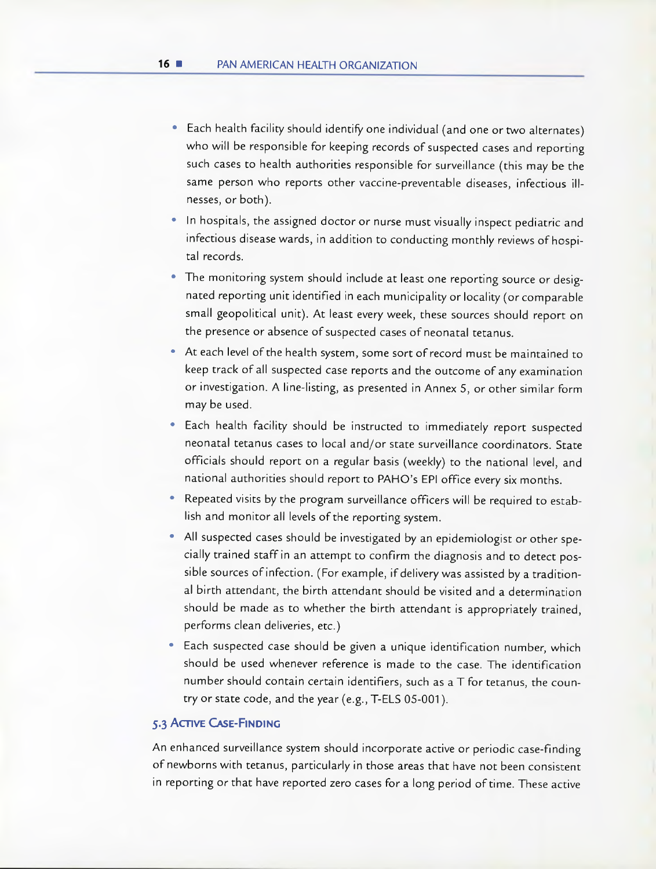- Each health facility should identify one individual (and one or two alternates) who will be responsible for keeping records of suspected cases and reporting such cases to health authorities responsible for surveillance (this may be the same person who reports other vaccine-preventable diseases, infectious illnesses, or both).
- In hospitais, the assigned doctor or nurse must visually inspect pediatric and infectious disease wards, in addition to conducting monthly reviews of hospital records.
- The monitoring system should include at least one reporting source or designated reporting unit identified in each municipality or locality (or comparable small geopolitical unit). At least every week, these sources should report on the presence or absence of suspected cases of neonatal tetanus.
- At each level of the health system, some sort of record must be maintained to keep track of all suspected case reports and the outcome of any examination or investigation. A line-listing, as presented in Annex 5, or other similar form may be used.
- Each health facility should be instructed to immediately report suspected neonatal tetanus cases to local and/or state surveillance coordinators. State officials should report on a regular basis (weekly) to the national level, and national authorities should report to PAHO's EPI office every six rnonths.
- Repeated visits by the program surveillance officers wihl be required to establish and monitor all levels of the reporting system.
- All suspected cases should be investigated by an epidemiologist or other specially trained staff in an atternpt to confirm the diagnosis and to detect possible sources of infection. (For example, if delivery was assisted by a traditional birth attendant, the birth attendant should be visited and a determination should be made as to whether the birth attendant is appropriately trained, performs clean deliveries, etc.)
- Each suspected case should be given a unique identification number, which should be used whenever reference is made to the case. The identification number should contain certain identifiers, such as a T for tetanus, the country or state code, and the year (e.g., T-ELS 05-001).

#### **5.3 ACTIVE CASE-FINDING**

An enhanced surveillance system should incorporate active or periodic case-finding of newborns with tetanus, particularly in those areas that have not been consistent in reporting or that have reported zero cases for a long period of time. These active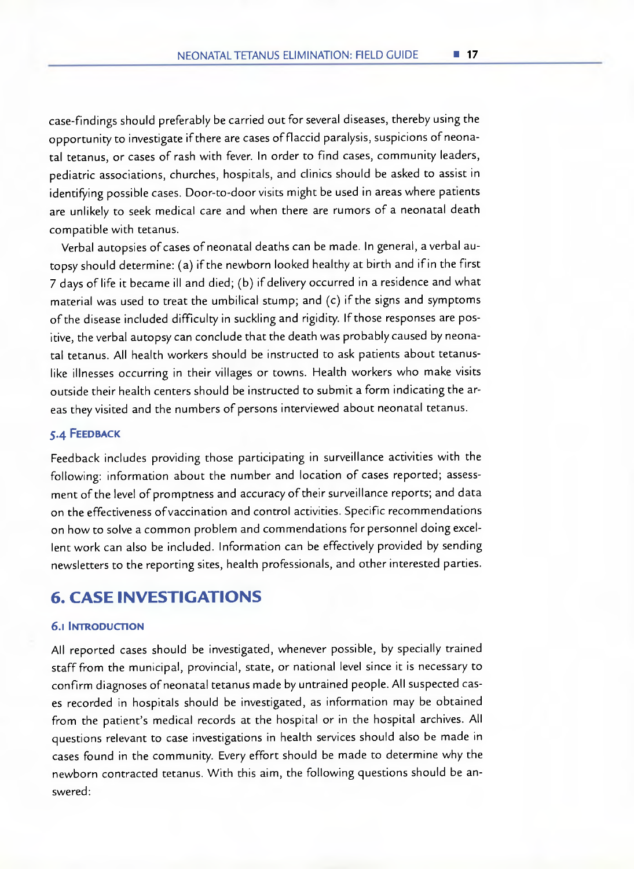case-findings should preferably be carried out for several diseases, thereby using the opportunity to investigate if there are cases of flaccid paralysis, suspicions of neonatal tetanus, or cases of rash with fever. In order to find cases, community leaders, pediatric associations, churches, hospitals, and clinics should be asked to assist in identifying possible cases. Door-to-door visits might be used in areas where patients are unlikely to seek medical care and when there are rumors of a neonatal death compatible with tetanus.

Verbal autopsies of cases of neonatal deaths can be made. In general, a verbal autopsy should determine: (a) ifthe newborn looked healthy at birth and ifin the first 7 days of life it became ill and died; (b) if delivery occurred in a residence and what material was used to treat the umbilical stump; and  $(c)$  if the signs and symptoms of the disease included difficulty in suckling and rigidity. If those responses are positive, the verbal autopsy can conclude that the death was probably caused by neonatal tetanus. All health workers should be instructed to ask patients about tetanuslike illnesses occurring in their villages or towns. Health workers who make visits outside their health centers should be instructed to submit a form indicating the areas they visited and the numbers of persons interviewed about neonatal tetanus.

#### **5.4 FEEDBACK**

Feedback includes providing those participating in surveillance activities with the following: information about the number and location of cases reported; assessment of the level of promptness and accuracy of their surveillance reports; and data on the effectiveness ofvaccination and control activities. Specific recommendations on how to solve a common problem and commendations for personnel doing excellent work can also be included. Information can be effectively provided by sending newsletters to the reporting sites, health professionals, and other interested parties.

## **6. CASE INVESTIGATIONS**

#### **6.1 INTRODUCTION**

All reported cases should be investigated, whenever possible, by specially trained staff from the municipal, provincial, state, or national level since it is necessary to confirm diagnoses of neonatal tetanus made by untrained people. All suspected cases recorded in hospitals should be investigated, as information may be obtained from the patient's medical records at the hospital or in the hospital archives. All questions relevant to case investigations in health services should also be made in cases found in the community. Every effort should be made to determine why the newborn contracted tetanus. With this aim, the following questions should be answered: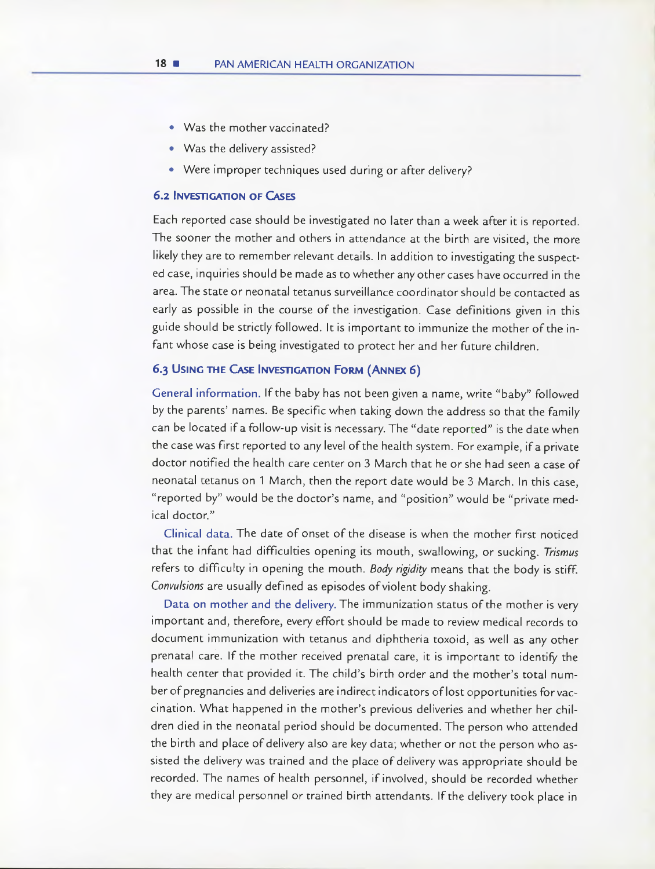- Was the mother vaccinated?
- Was the delivery assisted?
- Were improper techniques used during or after delivery?

#### **6.2 INVESTIGATION OF CASES**

Each reported case should be investigated no later than a week after it is reported. The sooner the mother and others in attendance at the birth are visited, the more likely they are to remember relevant details. In addition to investigating the suspected case, inquines should be made as to whether any other cases have occurred in the area. The state or neonatal tetanus surveillance coordinator should be contacted as early as possible in the course of the investigation. Case definitions given in this guide should be strictly followed. It is important to immunize the mother of the infant whose case is being investigated to protect her and her future children.

#### **6.3 USING THE CASE INVESTIGATION FORM (ANNEX 6)**

General information. If the baby has not been given a name, write "baby" followed by the parents' names. Be specific when taking down the address so that the family can be located if a follow-up visit is necessary. The "date reported" is the date when the case was first reported to any level of the health system. For example, if a private doctor notified the health care center on 3 March that he or she had seen a case of neonatal tetanus on 1 March, then the report date would be 3 March. In this case, "reported by" would be the doctor's name, and "position" would be "private medical doctor."

Clinical data. The date of onset of the disease is when the mother first noticed that the infant had difficulties opening its mouth, swallowing, or sucking. Trismus refers to difficulty in opening the mouth. Body rigidity means that the body is stiff. Convulsions are usually defined as episodes of violent body shaking.

Data on mother and the delivery. The immunization status of the mother is very important and, therefore, every effort should be made to review medical records to document immunization with tetanus and diphtheria toxoid, as well as any other prenatal care. If the mother received prenatal care, it is important to identifj the health center that provided it. The child's birth order and the mother's total number of pregnancies and deliveries are indirect indicators of lost opportunities for vaccination. What happened in the mother's previous deliveries and whether her children died in the neonatal period should be documented. The person who attended the birth and place of delivery also are key data; whether or not the person who assisted the delivery was trained and the place of delivery was appropriate should be recorded. The names of health personnel, if involved, should be recorded whether they are medical personnel or trained birth attendants. If the delivery took place in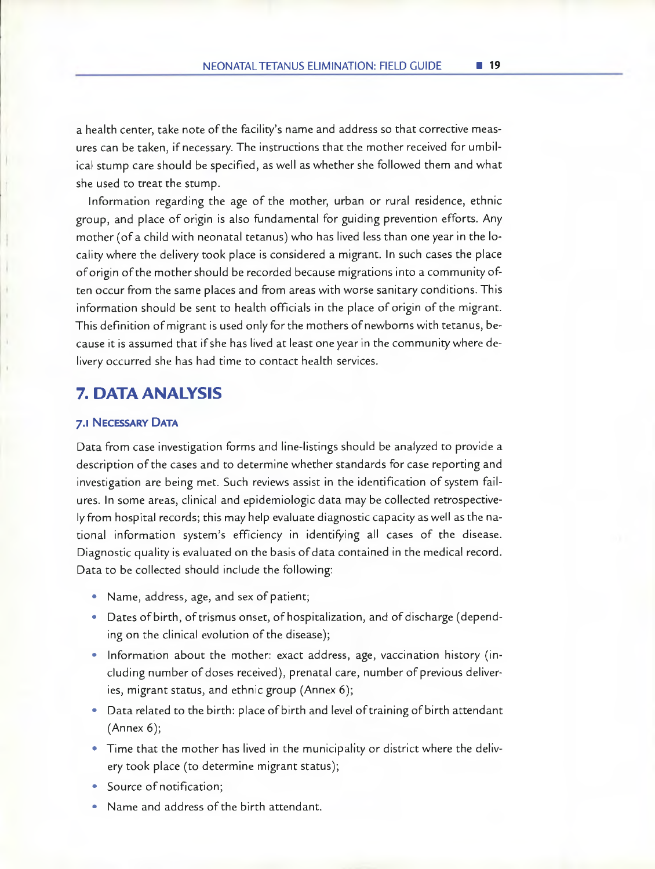a health center, take note of the facility's narne and address so that corrective measures can be taken, ifnecessary. The instructions that the mother received for umbilical stump care should be specified, as well as whether she followed them and what she used to treat the stump.

Information regarding the age of the mother, urban or rural residence, ethnic group, and place of origin is also fundamental for guiding prevention efforts. Any mother (ofa child with neonatal tetanus) who has lived less than one year in the locality where the delivery took place is considered a migrant. In such cases the place of origin of the mother should be recorded because migrations into a community often occur from the same places and from areas with worse sanitary conditions. This information should be sent to health officials in the place of origin of the migrant. This definition of migrant is used only for the mothers of newborns with tetanus, because it is assumed that if she has lived at least one year in the community where delivery occurred she has had time to contact health services.

### **7. DATA ANALYSIS**

#### **7.1 NECESSARY DATA**

Data from case investigation forrns and line-Iistings should be analyzed to provide a description of the cases and to determine whether standards for case reporting and investigation are being met. Such reviews assist in the identification of system failures. In sorne areas, clinical and epiderniologic data may be collected retrospectively from hospital records; this may help evaluate diagnostic capacity as well as the national information system's efficiency in identifying al¡ cases of the disease. Diagnostic quality is evaluated on the basis of data contained in the medical record. Data to be collected should include the foliowing:

- Name, address, age, and sex of patient;
- Dates of birth, of trismus onset, of hospitalization, and of discharge (depending on the clinical evolution of the disease);
- Information about the mother: exact address, age, vaccination history (including number of doses received), prenatal care, number of previous deliveries, migrant status, and ethnic group (Annex 6);
- Data related to the birth: place of birth and level of training of birth attendant (Annex 6);
- Time that the mother has lived in the municipality or district where the delivery took place (to determine migrant status);
- Source of notification;
- Name and address of the birth attendant.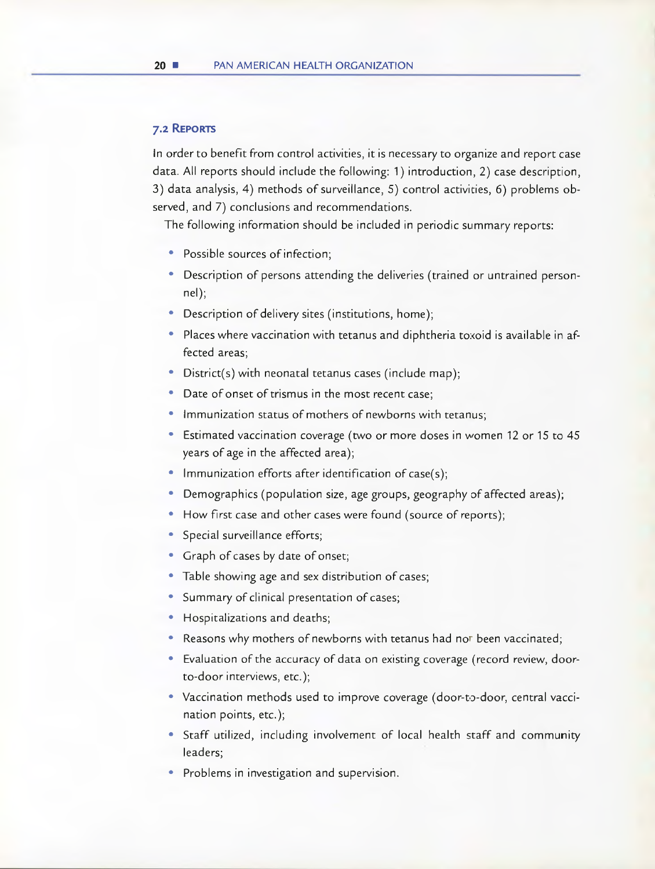#### **7.2 REPORTS**

In order to benefit from control activities, it is necessary to organize and report case data. All reports should include the following: 1) introduction, 2) case description, 3) data analysis, 4) methods of surveillance, 5) control activicies, 6) problems observed, and 7) conclusions and recommendations.

The following information should be included in periodic summary reports:

- Possible sources of infection;
- Description of persons attending the deliveries (trained or untrained personnel);
- Description of delivery sites (institutions, home);
- Places where vaccination with tetanus and diphtheria toxoid is available in affected areas;
- District(s) with neonatal tetanus cases (include map);
- Date of onset of trismus in the most recent case;
- Immunization status of mothers of newborns with tetanus;
- Estimated vaccination coverage (two or more doses in women 12 or 15 to 45 years of age in the affected area);
- Immunization efforts after identification of case(s);
- Demographics (population size, age groups, geography of affected areas);
- How first case and other cases were found (source of reports);
- Special surveillance efforts;
- Graph of cases by date of onset;
- Table showing age and sex distribution of cases;
- Summary of clinical presentation of cases;
- Hospitalizations and deaths;
- Reasons why mothers of newborns with tetanus had nor been vaccinated;
- Evaluation of the accuracy of data on existing coverage (record review, doorto-door interviews, etc.);
- Vaccination methods used to improve coverage (door-to-door, central vaccination points, etc.);
- Staff utilized, including involvement of local health staff and community leaders;
- Problems in investigation and supervision.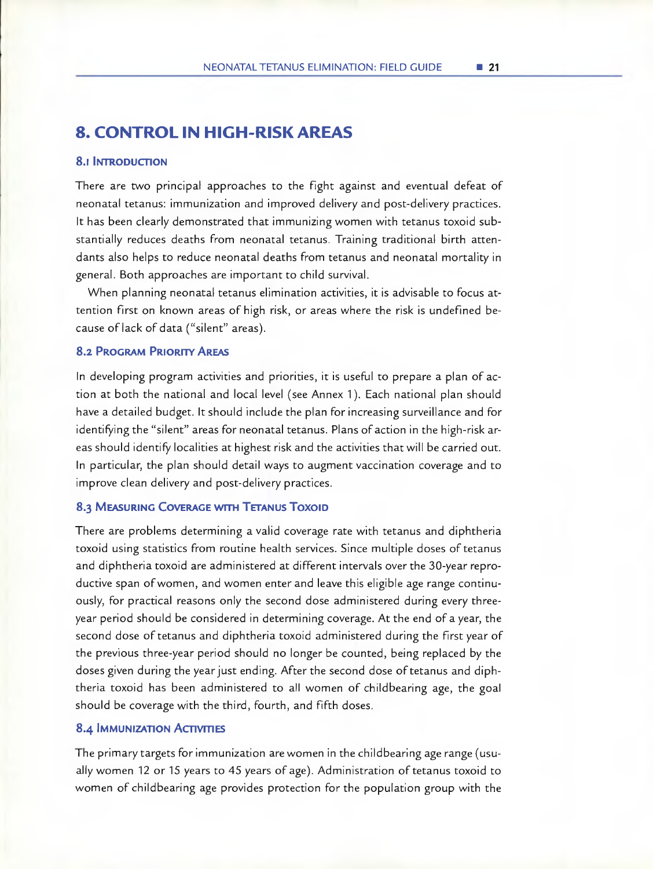## **8. CONTROL UN HUGH-RUSK AREAS**

#### **8.1 INTRODUCTION**

There are two principal approaches to the fight against and eventual defeat of neonatal tetanus: immunization and improved delivery and post-delivery practices. It has been clearly demonstrated that immunizing women with tetanus toxoid substantially reduces deaths from neonatal tetanus. Training traditional birth attendants also helps to reduce neonatal deaths from tetanus and neonatal mortality in general. Both approaches are important to child survival.

When planning neonatal tetanus elimination activities, it is advisable to focus attention first on known areas of high risk, or areas where the risk is undefined because of lack of data ("silent" areas).

#### **8.2 PROGRAM PRIORITY AREAS**

In developing program activities and priorities, it is useful to prepare a plan of action at both the national and local level (see Annex 1). Each national plan should have a detailed budget. It should include the plan for increasing surveillance and for identifying the "silent" areas for neonatal tetanus. Plans of action in the high-risk areas should identify localities at highest risk and the activities that will be carried out. In particular, the plan should detall ways to augment vaccination coverage and to improve clean delivery and post-delivery practices.

#### *8.3* **MEASURING COVERAGE WITH TETANUS ToxoiD**

There are problems determining a valid coverage rate with tetanus and diphtheria toxoid using statistics from routine health services. Since multiple doses of tetanus and diphtheria toxoid are administered at different intervals over the 30-year reproductive span ofwomen, and women enter and leave this eligible age range continuously, for practical reasons only the second dose administered during every threeyear period should be considered in determining coverage. At the end of a year, the second dose of tetanus and diphtheria toxoid administered during the first year of the previous three-year period should no longer be counted, being replaced by the doses given during the year just ending. After the second dose of tetanus and diphtheria toxoid has been administered to al¡ women of childbearing age, the goal should be coverage with the third, fourth, and fifth doses.

#### **8.4 IMMUNIZATION ACTIVITIES**

The primary targets for immunization are women in the childbearing age range (usuallywomen 12 or 15 years to 45 years of age). Administration of tetanus toxoid to women of childbearing age provides protection for the population group with the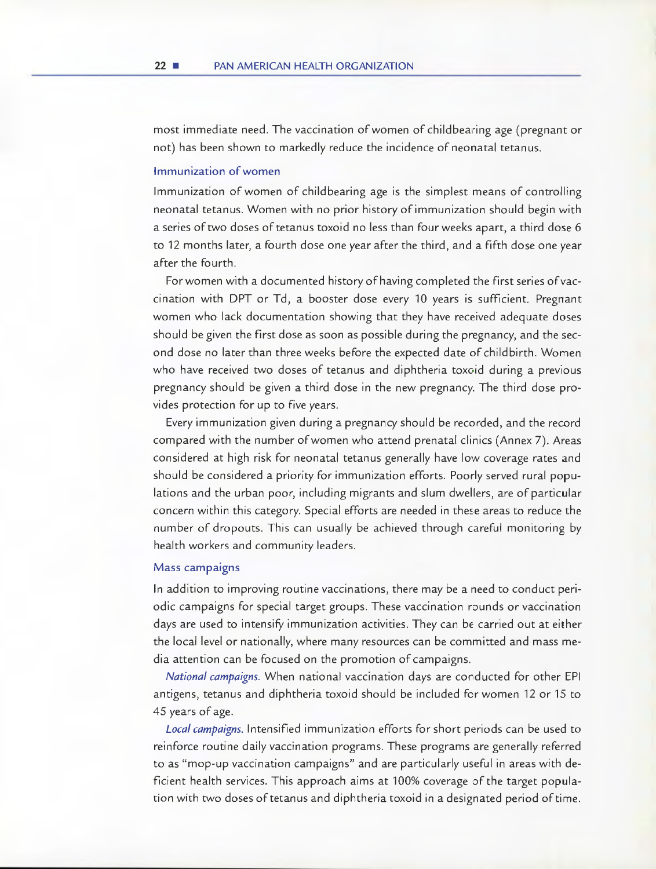most immediate need. The vaccination of women of childbearing age (pregnant or not) has been shown to markedly reduce the incidence of neonatal tetanus.

#### Immunization of women

Immunization of women of childbearing age is the simplest means of controlling neonatal tetanus. Women with no prior history of immunization should begin with a series of two doses of tetanus toxoid no less than fourweeks apart, a third dose 6 to 12 months later, a fourth dose one year after the third, and a fifth dose one year after the fourth.

For women with a documented history of having completed the first series of vaccination with DPT or Td, a booster dose every 10 years is sufficient. Pregnant women who lack documentation showing that they have received adequate doses should be given the first dose as soon as possible during the pregnancy, and the second dose no later than three weeks before the expected date of childbirth. Women who have received two doses of tetanus and diphtheria toxcid during a previous pregnancy should be given a third dose in the new pregnancy. The third dose provides protection for up to five years.

Every immunization given during a pregnancy should be recorded, and the record compared with the number of women who attend prenatal clinics (Annex 7). Areas considered at high risk for neonatal tetanus generally have IOW coverage rates and should be considered a priority for immunization efforts. Poorly served rural populations and the urban poor, including migrants and slum dwellers, are of particular concern within this category. Special efforts are needed in these areas to reduce the number of dropouts. This can usually be achieved through careful monitoring by health workers and community leaders.

#### Mass campaigns

In addition to improving routine vaccinations, there may be a need to conduct periodic campaigns for special target groups. These vaccination rounds or vaccination days are used to intensify immunization activities. They can be carried out at eiher the local level or nationally, where many resources can be committed and mass media attention can be focused on the promotion of campaigns.

National campaigns. When national vaccination days are conducted for other EPI antigens, tetanus and diphtheria toxoid should be included fcr women 12 or 15 to 45 years of age.

Local campaigns. Intensified immunization efforts for short periods can be used to reinforce routine daily vaccination programs. These programs are generally referred to as "mop-up vaccination campaigns" and are particularly useful in areas with deficient health services. This approach aims at 100% coverage of the target population with two doses of tetanus and diphtheria toxoid in a designated period of time.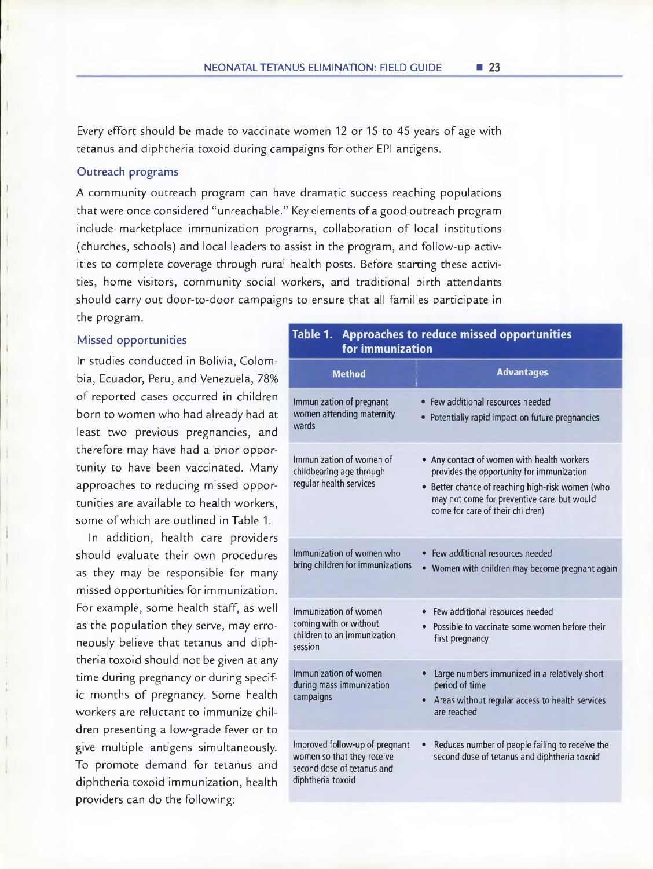Every effort should be made to vaccinate wornen 12 or 15 to 45 years of age with tetanus and diphtheria toxoid during campaigns for other EPI antigens.

#### Outreach programs

A community outreach program can have dramatic success reaching populations that were once considered "unreachabie." Key elements ofa good outreach program include marketplace immunization programs, collaboration of local institutions (churches, schoois) and local leaders to assist in the program, and foiiow-up activities to complete coverage through rural health posts. Before starting these activities, home visitors, comrnunity social workers, and traditional birth attendants should carry out door-to-door campaigns to ensure that all families participate in the program.

#### Missed opportunities

In studies conducted in Bolivia, Colombia, Ecuador, Peru, and Venezuela, 78% of reported cases occurred in children born to women who had aiready had at least two previous pregnancies, and therefore may have had a prior opportunity to have been vaccinated. Many approaches to reducing missed opportunities are availabie to health workers, some of which are outlined in Table 1.

In addition, health care providers should evaluate their own procedures as they may be responsible for many missed opportunities for immunization. For example, some health staff, as well as the population they serve, may erroneously beiieve that tetanus and diphtheria toxoid should not be given at any time during pregnancy or during specific months of pregnancy. Some health workers are reiuctant to immunize children presenting a iow-grade fever or to give multiple antigens simultaneously. To promote demand for tetanus and diphtheria toxoid immunization, health providers can do the following:

#### Table 1. Approaches to reduce missed opportunities for immunization

| <b>Method</b>                                                                                                   | <b>Advantages</b>                                                                                                                                                                                                              |
|-----------------------------------------------------------------------------------------------------------------|--------------------------------------------------------------------------------------------------------------------------------------------------------------------------------------------------------------------------------|
| Immunization of pregnant<br>women attending maternity<br>wards                                                  | • Few additional resources needed<br>Potentially rapid impact on future pregnancies                                                                                                                                            |
| Immunization of women of<br>childbearing age through<br>regular health services                                 | • Any contact of women with health workers<br>provides the opportunity for immunization<br>• Better chance of reaching high-risk women (who<br>may not come for preventive care, but would<br>come for care of their children) |
| Immunization of women who<br>bring children for immunizations                                                   | Few additional resources needed<br>Women with children may become pregnant again                                                                                                                                               |
| Immunization of women<br>coming with or without<br>children to an immunization<br>session                       | Few additional resources needed<br>Possible to vaccinate some women before their<br>first pregnancy                                                                                                                            |
| Immunization of women<br>during mass immunization<br>campaigns                                                  | Large numbers immunized in a relatively short<br>period of time<br>Areas without regular access to health services<br>$\bullet$<br>are reached                                                                                 |
| Improved follow-up of pregnant<br>women so that they receive<br>second dose of tetanus and<br>diphtheria toxoid | Reduces number of people failing to receive the<br>second dose of tetanus and diphtheria toxoid                                                                                                                                |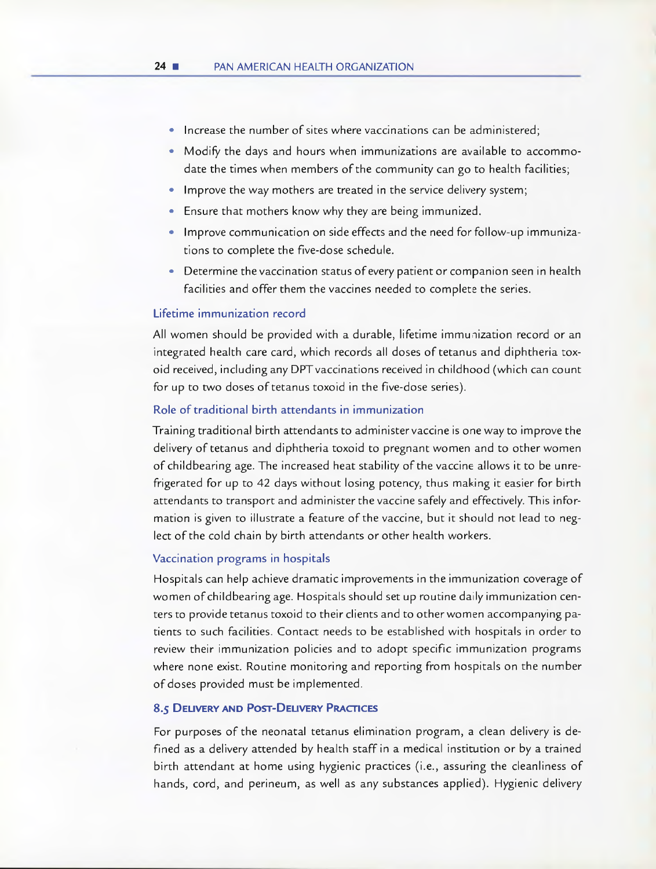- Increase the number of sites where vaccinations can be administered;
- Modify the days and hours when immunizations are available to accommodate the times when members of the community can go to health facilities;
- Improve the way mothers are treated in the service delivery system;
- Ensure that mothers know why they are being immunized.
- Improve communication on side effects and the need for follow-up immunizations to complete the five-dose schedule.
- Determine the vaccination status of every patient or companion seen in health facilities and offer them the vaccines needed to complete the series.

#### Lifetime immunization record

All women should be provided with a durable, lifetime immunization record or an integrated health care card, which records all doses of tetanus and diphtheria toxoid received, including any DPTvaccinations received in childhood (which can count for up to two doses of tetanus toxoid in the five-dose series).

#### Role of traditional birth attendants in immunization

Training traditional birth attendants to administervaccine is one way to improve the delivery of tetanus and diphtheria toxoid to pregnant women and to other women of childbearing age. The increased heat stability of the vaccine allows it to be unrefrigerated for up to 42 days without losing potency, thus making it easier for birth attendants to transport and administer the vaccine safely and effectively. This information is given to illustrate a feature of the vaccine, but it should not lead to neglect of the cold chain by birth attendants or other health workers.

#### Vaccination programs in hospitals

Hospitals can help achieve dramatic improvements in the immunization coverage of women of childbearing age. Hospitals should set up routine daily immunization centers to provide tetanus toxoid to their clients and to otherwomen accompanying patients to such facilities. Contact needs to be established with hospitals in order to review their immunization policies and to adopt specific immunization programs where none exist. Routine monitoring and reporting from hospitals on the number of doses provided must be implemented.

#### **8.5 DELIVERY AND POST-DELIVERY PRACTICES**

For purposes of the neonatal tetanus elimination program, a clean delivery is defined as a delivery attended by health staff in a medical institution or by a trained birth attendant at home using hygienic practices (i.e., assuring the cleanliness of hands, cord, and perineum, as well as any substances applied). Hygienic delivery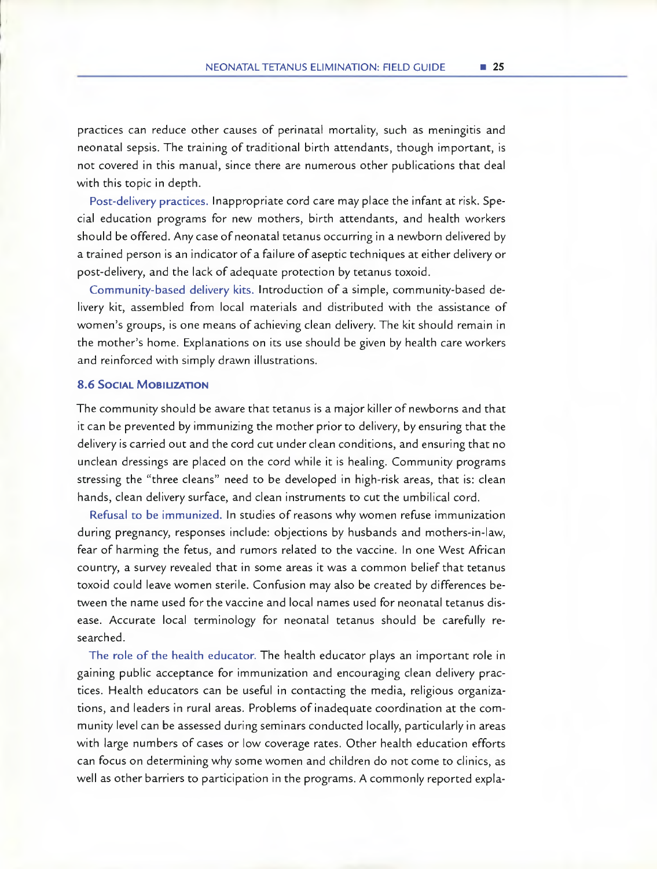practices can reduce other causes of perinata) mortality, such as meningitis and neonatal sepsis. The training of traditional birth attendants, though important, is not covered in this manual, since there are numerous other publications that deal with this topic in depth.

Post-delivery practices. lnappropriate cord care may place the infant at risk. Special education programs for new mothers, birth attendants, and health workers should be offered. Any case of neonatal tetanus occurring in a newborn delivered by a trained person is an indicator of a failure of aseptic techniques at either delivery or post-delivery, and the lack of adequate protection by tetanus toxoid.

Community-based delivery kits. Introduction of a simple, community-based delivery kit, assembled from local materials and distributed with the assistance of women's groups, is one means of achieving clean delivery. The kit should remain in the mother's home. Explanations on its use should be given by health care workers and reinforced with simply drawn illustrations.

#### **8.6 SOCIAL MOBILIZATION**

The community should be aware that tetanus is a major killer of newborns and that it can be prevented by immunizing the mother prior to delivery, by ensuring that the delivery is carried out and the cord cut under clean conditions, and ensuring that no unclean dressings are placed on the cord while it is healing. Community programs stressing the "three cleans" need to be developed in high-risk areas, that is: clean hands, clean delivery surface, and clean instruments to cut the umbilical cord.

Refusal to be immunized. In studies of reasons why women refuse immunization during pregnancy, responses include: objections by husbands and mothers-in-law, fear of harrning the fetus, and rumors related to the vaccine. In one West African country, a survey revealed that in some areas it was a common belief that tetanus toxoid could leave women sterile. Confusion may also be created by differences between the name used for the vaccine and local names used for neonatal tetanus disease. Accurate local terminology for neonatal tetanus should be carefully re**searched.** 

**The role of** the health educator. The health educator plays an important role in gaining public acceptance for immunization and encouraging clean delivery practices. Health educators can be useful in contacting the media, religious organizations, and leaders in rural areas. Problems of inadequate coordination at the cornmunity leve) can be assessed during seminars conducted locally, particularly in areas with large numbers of cases or low coverage rates. Other health education efforts can focus on determining why sorne women and children do not come to clinics, as well as other barriers to participation in the programs. A commoniy reported expla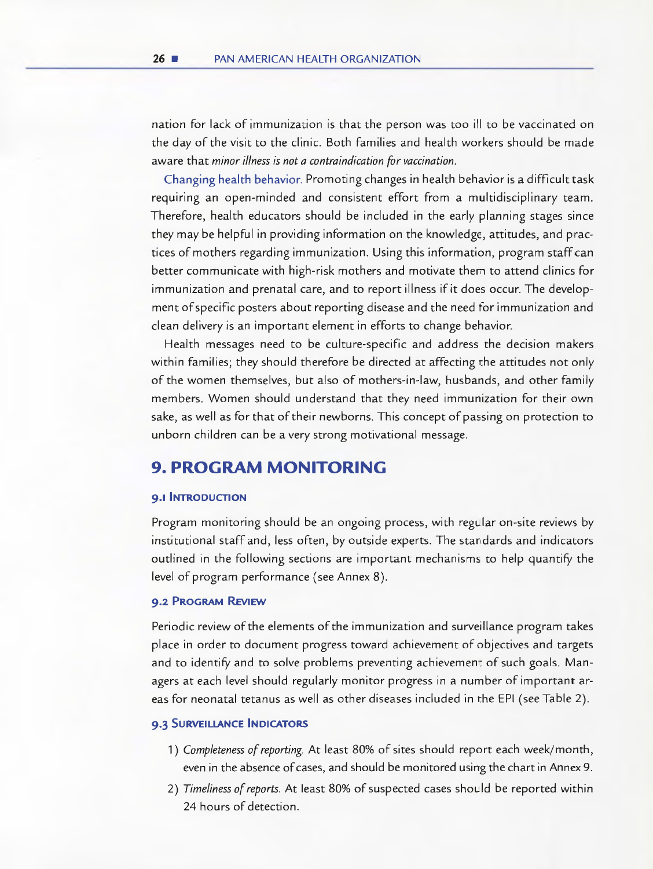nation for lack of immunization is that the person was too ill to be vaccinated on the day of the visit to the clinic. Both families and health workers should be made aware that minor illness is not a contraindication for vaccination.

Changing health behavior. Promoting changes in health behavior is a difflcult task requiring an open-minded and consistent effort from a multidisciplinary team. Therefore, health educators should be inciuded in the early planning stages since they may be helpful in providing information on the knowledge, attitudes, and practices of mothers regarding immunization. Using this information, program staff can better communicate with high-risk mothers and motivate thern to attend clinics for immunization and prenatal care, and to report illness if it does occur. The development of specific posters about reporting disease and the need for immunization and clean delivery is an important element in efforts to change behavior.

Health messages need to be culture-specific and address the decision makers within families; they should therefore be directed at affecting the attitudes not only of the women themselves, but also of mothers-in-law, husbands, and other family members. Women should understand that they need immunization for their own sake, as well as for that of their newborns. This concept of passing on protection to unborn children can be a very strong motivational message.

#### **9. PROGRAM MONITORING**

#### **9.1 INTRODUCTION**

Program monitoring should be an ongoing process, with regular on-site reviews by institutional staff and, less often, by outside experts. The standards and indicators outlined in the following sections are important mechanisms to help quantify the level of program performance (see Annex 8).

#### **9.2 PROGRAM REVJEw**

Periodic review of the elements of the immunization and surveillance program takes place in order to document progress toward achievement of objectives and targets and to identify and to solve problems preventing achievemen: of such goals. Managers at each level should regularly monitor progress in a number of important areas for neonatal tetanus as well as other diseases included in the EPI (see Table 2).

#### **9.3 SURVEILLANCE INDICATORS**

- 1) Completeness of reporting. At least 80% of sites should report each week/month, even in the absence of cases, and should be monitored using the chart in Annex 9.
- 2) Timeliness of reports. At least 80% of suspected cases should be reported within 24 hours of detection.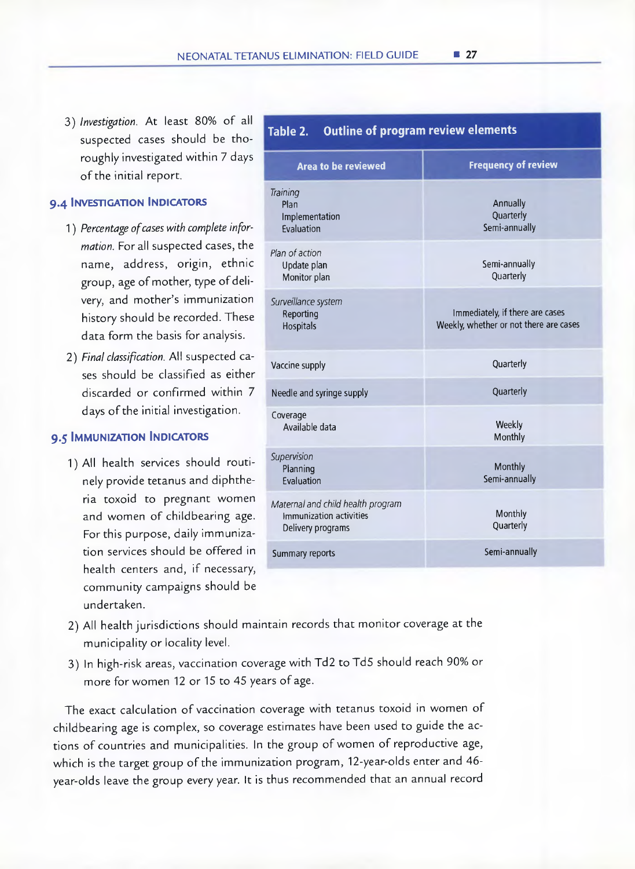3) Investigation. At least 80% of all suspected cases should be thoroughly investigated within *7* days of the initial report.

#### **9.4 INVESTIGATION INDICATORS**

- 1) Percentage of cases with complete information. For all suspected cases, the name, address, origin, ethnic group, age of mother, type of delivery, and mother's immunization history should be recorded. These data form the basis for analysis.
- 2) Final classification. All suspected cases should be classified as either discarded or confirmed within 7 days of the initial investigation.

#### **9.5 IMMUNIZATION INDICATORS**

1) AH health services should routinely provide tetanus and diphtheria toxoid to pregnant women and women of childbearing age. For this purpose, daily immunization services should be offered in health centers and, if necessary, community campaigns should be undertaken.

| Outline of program review elements<br>Table 2.                                    |                                                                           |
|-----------------------------------------------------------------------------------|---------------------------------------------------------------------------|
| <b>Area to be reviewed</b>                                                        | <b>Frequency of review</b>                                                |
| Training<br>Plan<br>Implementation<br>Evaluation                                  | Annually<br>Quarterly<br>Semi-annually                                    |
| Plan of action<br>Update plan<br>Monitor plan                                     | Semi-annually<br>Quarterly                                                |
| Surveillance system<br>Reporting<br>Hospitals                                     | Immediately, if there are cases<br>Weekly, whether or not there are cases |
| Vaccine supply                                                                    | Quarterly                                                                 |
| Needle and syringe supply                                                         | Quarterly                                                                 |
| Coverage<br>Available data                                                        | Weekly<br>Monthly                                                         |
| Supervision<br>Planning<br>Evaluation                                             | Monthly<br>Semi-annually                                                  |
| Maternal and child health program<br>Immunization activities<br>Delivery programs | Monthly<br>Quarterly                                                      |
| Summary reports                                                                   | Semi-annually                                                             |

- 2) All health jurisdictions should maintain records that monitor coverage at the municipality or locality level.
- 3) In high-risk areas, vaccination coverage with Td2 to Td5 should reach 90% or more for women 12 or 15 to 45 years of age.

The exact calculation of vaccination coverage with tetanus toxoid in women of childbearing age is complex, so coverage estimates have been used to guide the actions of countries and municipalities. In the group of women of reproductive age, which is the target group of the immunization program, 12-year-olds enter and 46 year-olds leave the group every year. It is thus recommended that an annual record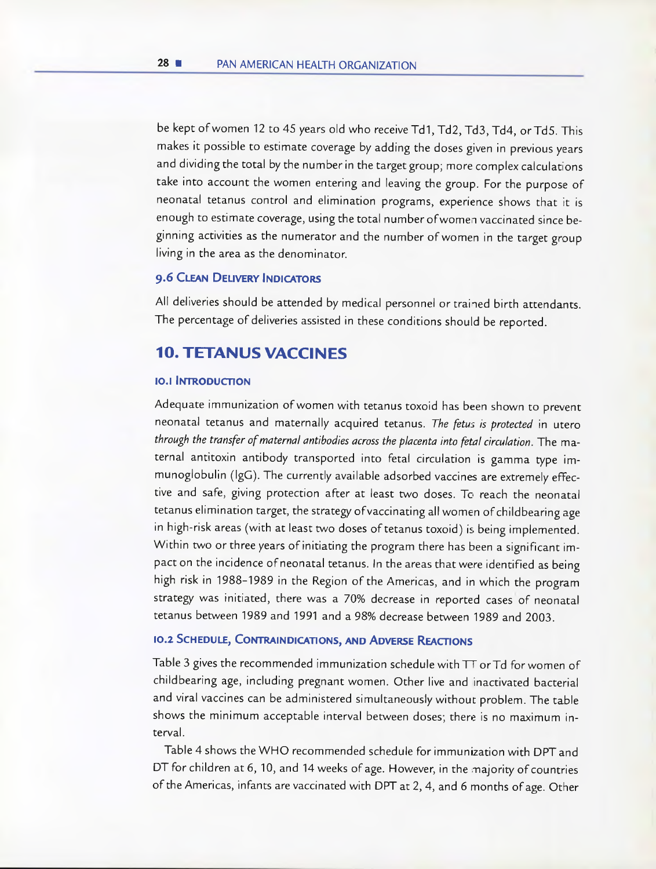be kept of women 12 to 45 years old who receive Td1, Td2, Td3, Td4, or Td5. This makes it possible to estimate coverage by adding the doses given in previous years and dividing the total by the number in the target group; more complex calculations take into account the women entering and ieaving the group. For the purpose of neonatal tetanus control and elimination programs, experience shows that it is enough to estimate coverage, using the total number ofwomen vaccinated since beginning activities as the numerator and the number of women in the target group living in the area as the denominator.

#### **9.6 CLEAN DELIVERY INDICATORS**

All deliveries should be attended by medical personnel or trained birth attendants. The percentage of deliveries assisted in these conditions should be reported.

#### **10. TETANUS VACCINES**

#### **10.1 INTRODUCFION**

Adequate immunization ofwomen with tetanus toxoid has been shown to prevent neonatal tetanus and maternally acquired tetanus. The fetus is protected in utero through the transfer of maternal antibodies across the placenta into fetal circulation. The maternal antitoxin antibody transported into fetal circuiation is gamma type immunoglobulin (igG). The currently avaiiable adsorbed vaccines are extremely effective and safe, giving protection after at least two doses. To reach the neonatal tetanus elimination target, the strategy of vaccinating all women of childbearing age in high-risk areas (with at least two doses of tetanus toxoid) is being implemented. Within two or three years of initiating the program there has been a significant impact on the incidence of neonatal tetanus. In the areas that were identified as being high risk in 1988-1989 in the Region of the Americas, and in which the program strategy was initiated, there was a 70% decrease in reported cases of neonatal tetanus between 1989 and 1991 and a 98% decrease between 1989 and 2003.

#### **10.2 SCHEDULE, CONTRAINDICATIONS, AND ADVERSE REACTIONS**

Table 3 gives the recommended immunization schedule with TT orTd for women of childbearing age, including pregnant women. Other live and inactivated bacterial and virai vaccines can be administered simultaneousiy without problem. The table shows the minimum acceptable interval between doses; there is no maximum interval.

Table 4 shows the WHO recommended schedule for immunization with DPT and DT for children at 6, 10, and 14 weeks of age. However, in the majority of countries of the Americas, infants are vaccinated with DPT at 2, 4, and 6 months of age. Other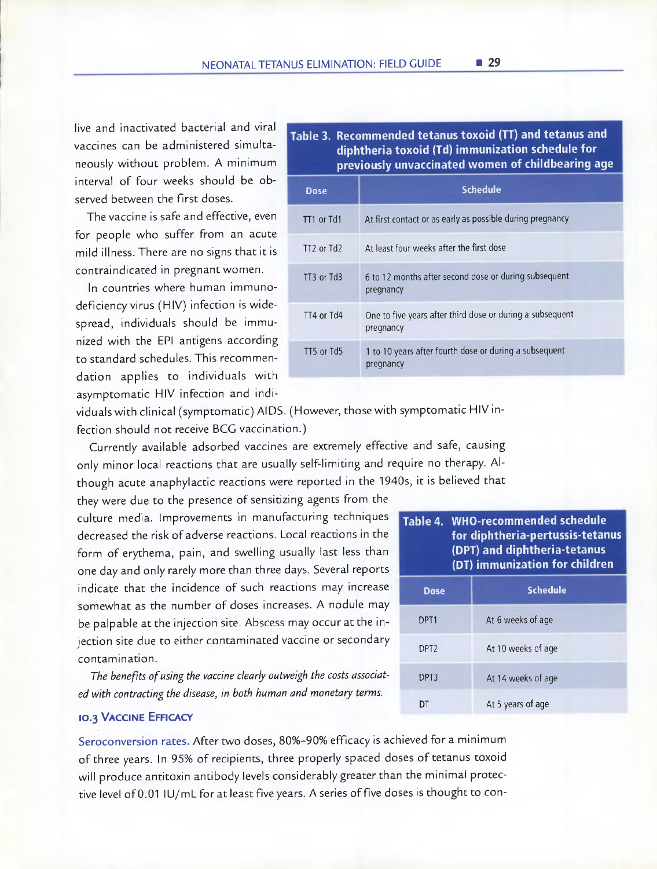live and inactivated bacterial and viral vaccines can be administered simultaneously without problem. A minimum interval of four weeks should be observed between the first doses.

The vaccine is safe and effective, even for people who suffer from an acute mild illness. There are no signs that it is contraindicated in pregnant women.

In countries where human immunodeficiency virus (HIV) infection is widespread, individuals should be immunized with the EPI antigens according to standard schedules. This recommendation applies to individuals with asymptomatic HIV infection and indi-

#### Table 3. Recommended tetanus toxoid (TT) and tetanus and diphtheria toxoid (Td) immunization schedule for previously unvaccinated women of childbearing age

| <b>Dose</b>    | <b>Schedule</b>                                                        |
|----------------|------------------------------------------------------------------------|
| TT1 or Td1     | At first contact or as early as possible during pregnancy              |
| $TT2$ or $Td2$ | At least four weeks after the first dose                               |
| TT3 or Td3     | 6 to 12 months after second dose or during subsequent<br>pregnancy     |
| TT4 or Td4     | One to five years after third dose or during a subsequent<br>pregnancy |
| TT5 or Td5     | 1 to 10 years after fourth dose or during a subsequent<br>pregnancy    |

viduals with clinical (symptomatic) AIDS. (However, those with symptomatic HIV infection should not receive BCG vaccination.)

Currently available adsorbed vaccines are extremely effective and safe, causing only minor local reactions that are usually self-limiting and require no therapy. Although acute anaphylactic reactions were reported in the 1940s, it is believed that

they were due to the presence of sensitizing agents from the culture media. Improvements in manufacturing techniques decreased the risk of adverse reactions. Local reactions in the form of erythema, pain, and swelling usually last less than one day and only rarely more than three days. Several reports indicate that the incidence of such reactions may increase somewhat as the number of doses increases. A nodule may be palpable at the injection site. Abscess may occur at the injection site due to either contaminated vaccine or secondary contamination.

The benefits of using the vaccine clearly outweigh the costs associated with contracting the disease, in both human and monetary terms.

#### **10.3 VACCINE EFFICACY**

Seroconversion rates. After two doses, 80%-90% efficacy is achieved for a minimum of three years. In 95% of recipients, three properly spaced doses of tetanus toxoid will produce antitoxin antibody levels considerably greater than the minimal protective level of 0.01 IU/mL for at least five years. A series of five doses is thought to con-

| Table 4. WHO-recommended schedule<br>for diphtheria-pertussis-tetanus<br>(DPT) and diphtheria-tetanus<br>(DT) immunization for children |                    |  |  |  |
|-----------------------------------------------------------------------------------------------------------------------------------------|--------------------|--|--|--|
| Dose                                                                                                                                    | <b>Schedule</b>    |  |  |  |
| DPT <sub>1</sub>                                                                                                                        | At 6 weeks of age  |  |  |  |
| DPT <sub>2</sub>                                                                                                                        | At 10 weeks of age |  |  |  |
| DPT3                                                                                                                                    | At 14 weeks of age |  |  |  |

DT At 5 years of age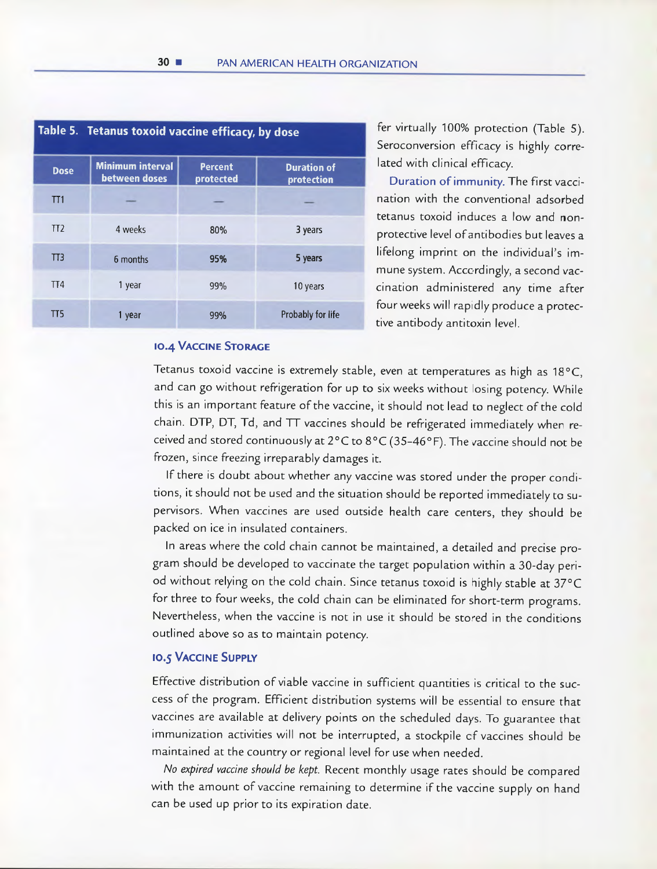| Table 5. Tetanus toxoid vaccine efficacy, by dose |                                          |                             |                                  |  |  |  |
|---------------------------------------------------|------------------------------------------|-----------------------------|----------------------------------|--|--|--|
| <b>Dose</b>                                       | <b>Minimum interval</b><br>between doses | <b>Percent</b><br>protected | <b>Duration of</b><br>protection |  |  |  |
| TT <sub>1</sub>                                   |                                          |                             |                                  |  |  |  |
| TT2                                               | 4 weeks                                  | 80%                         | 3 years                          |  |  |  |
| TT <sub>3</sub>                                   | 6 months                                 | 95%                         | 5 years                          |  |  |  |
| TT4                                               | 1 year                                   | 99%                         | 10 years                         |  |  |  |
| TT5                                               | 1 year                                   | 99%                         | Probably for life                |  |  |  |

fer virtually 100% protection (Table 5). Seroconversion efflcacy is highly correlated with clinical efficacy.

Duration of immunity. The first vaccination with the conventional adsorbed tetanus toxoid induces a low and nonprotective level of antibodies but leaves a lifelong imprint on the individual's immune system. Acccrdingly, a second yaccination administered any time after four weeks will raprdly produce a protective antibody antitoxin level.

#### **10.4 VACCINE STORAGE**

Tetanus toxoid vaccine is extremely stable, even at temperatures as high as 18°C, and can go without refrigeration for up to six weeks without losing potency. While this is an important feature of the vaccine, it should not lead to neglect of the cold chain. DTP, DT, Td, and TT vaccines should be refrigerated immediately when received and stored continuously at  $2^{\circ}$ C to  $8^{\circ}$ C (35-46°F). The vaccine should not be frozen, since freezing irreparably damages it.

If there is doubt about whether any vaccine was stored under the proper conditions, it should not be used and the situation should be reported immediately to supervisors. When vaccines are used outside health care centers, they should be packed on ice in insulated containers.

In areas where the cold chain cannot be maintained, a detailed and precise program should be developed to vaccinate the target population within a 30-day period without relying on the cold chain. Since tetanus toxoid is highly stable at 37°C for three to four weeks, the cold chain can be eliminated for short-term programs. Nevertheless, when the vaccine is not in use it should be stored in the conditions outlined aboye so as to maintain potency.

#### **10.5 VACCINE SUPPLY**

Effective distribution of viable vaccine in sufficient quantities is critical to the success of the program. Efficient distribution systems will be essential to ensure that vaccines are available at delivery points on the scheduled days. To guarantee that immunization activities will not be interrupted, a stockpile cf vaccines should be maintained at the country or regional level for use when needed.

No expired vaccine should be kept. Recent monthly usage rates should be compared with the amount of vaccine remaining to determine if the vaccine supply on hand can be used up prior to its expiration date.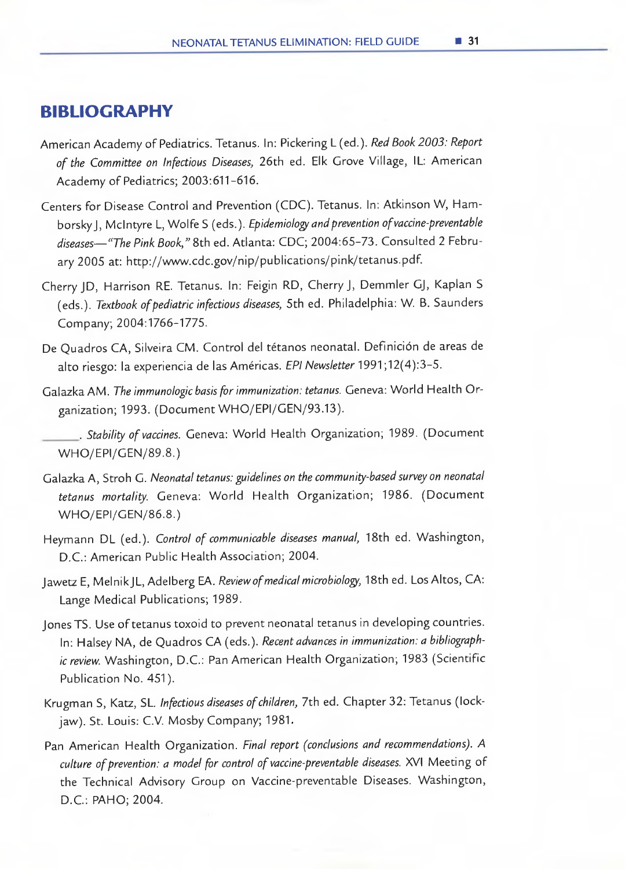#### **BIBLIOGRAPHY**

- American Academy of Pediatrics. Tetanus. In: Pickering L (ed.). Red Book 2003: Report of the Committee on Infectious Diseases, 26th ed. Elk Grove Village, IL: American Academy of Pediatrics; 2003:611-616.
- Centers for Disease Control and Prevention (CDC). Tetanus. In: Atkinson W, Hamborsky J, McIntyre L, Wolfe S (eds.). Epidemiology and prevention of vaccine-preventable diseases—"The Pink Book," 8th ed. Atlanta: CDC; 2004:65-73. Consulted 2 February 2005 at: http://www.cdc.gov/nip/publications/pink/tetanus.pdf.
- Cherry JD, Harrison RE. Tetanus. In: Feigin RD, Cherry J, Demmler GJ, Kaplan S (eds.). Textbook of pediatric infectious diseases, 5th ed. Philadelphia: W. B. Saunders Company; 2004:1766-1775.
- De Quadros CA, Silveira CM. Control del tétanos neonatal. Definición de areas de alto riesgo: la experiencia de las Américas. EPI Newsletter 1991;12(4):3-5.
- Galazka AM. The immunologic basis for immunization: tetanus. Geneva: World Health Organization; 1993. (Document WHO/EPI/GEN/93.13).

- Galazka A, Stroh G. Neonatal tetanus: guidelines on the community-based survey on neonatal tetanus mortality. Geneva: World Health Organization; 1986. (Document WHO/EPI/GEN/86.8.)
- Heymann DL (ed.). Control of communicable diseases manual, 18th ed. Washington, D.C.: American Public Health Association; 2004.
- Jawetz E, Melnik JL, Adelberg EA. Review of medical microbiology, 18th ed. Los Altos, CA: Lange Medical Publications; 1989.
- Jones TS. Use of tetanus toxoid to prevent neonatal tetanus in developing countries. In: Halsey NA, de Quadros CA (eds.). Recent advances in immunization: a bibliographic review. Washington, D.C.: Pan American Health Organization; 1983 (Scientific Publication No. 451).
- Krugman 5, Katz, SL. Infectious diseases of children, 7th ed. Chapter 32: Tetanus (lockjaw). St. Louis: C.V. MosbyCompany; 1981.
- Pan American Health Organization. Final report (conclusions and recommendations). A culture of prevention: a model for control of vaccine-preventable diseases. XVI Meeting of the Technical Advisory Group on Vaccine-preventable Diseases. Washington, D.C.: PAHO; 2004.

Stability of vaccines. Geneva: World Health Organization; 1989. (Document WHO/EPI/GEN/89.8.)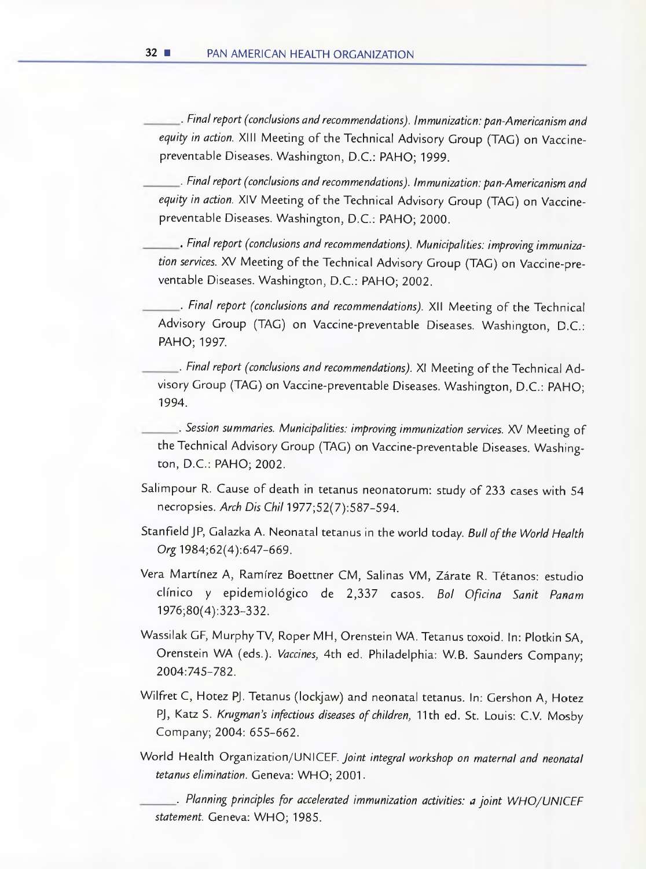Final report (conclusions and recommendations). lmmunizaticn: pan-Americanism and equity in action. XIII Meeting of the Technical Advisory Group (TAG) on Vaccinepreventable Diseases. Washington, D.C.: PAHO; 1999.

Final report (conclusions and recommendations). lmmunization: pan-Americanism and equity in action. XIV Meeting of the Technical Advisory Group (TAG) on Vaccinepreventable Diseases. Washington, D.C.: PAHO; 2000.

Final report (conclusions and recommendations). Municipalites: ¡mproving immunization services. XV Meeting of the Technical Advisory Group (TAG) on Vaccine-preventable Diseases. Washington, D.C.: PAHO; 2002.

. Final report (conclusions and recommendations). XII Meeting of the Technical Advisory Group (TAG) on Vaccine-preventable Diseases. Washington, D.C.: PAHO; 1997.

Final report (conclusions and recommendations). XI Meeting of the Technical Advisory Group (TAG) on Vaccine-preventable Diseases. Washington, D.C.: PAHO; 1994.

Session summaries. Municipalities: improving immunization services. XV Meeting of the Technical Advisory Group (TAG) on Vaccine-preventable Diseases. Washington, D.C.: PAHO; 2002.

- Salimpour R. Cause of death in tetanus neonatorum: study of 233 cases with 54 necropsies. Arch Dis Chil 1977;52(7):587-594.
- Stanfield JP, Galazka A. Neonatal tetanus in the world today. Bull of the World Health Org 1984;62(4):647-669.
- Vera Martínez A, Ramírez Boettner CM, Salinas VM, Zárate R. Tétanos: estudio clínico y epidemiológico de 2,337 casos. Bol Oficina Sanit Panam 1976;80(4):323-332.
- Wassilak GE, MurphyTV, Roper MH, Orenstein WA. Tetanus toxoid. In: Plotkin SA, Orenstein WA (eds.). Vaccines, 4th ed. Philadelphia: W.B. Saunders Company; 2004:745-782.
- Wilfret C, Hotez PJ. Tetanus (lockjaw) and neonatal tetanus. In: Gershon A, Hotez PJ, Katz S. Krugman's infectious diseases of children, 11th ed. St. Louis: C.V. Mosby Company; 2004: 655-662.
- World Health Organization/UNICEF. Joint integral workshop on maternal and neonatal tetanus elimination. Geneva: WHO; 2001.

 $\_$ . Planning principles for accelerated immunization activities: a joint WHO/UNICEF statement. Geneva: WHO; 1985.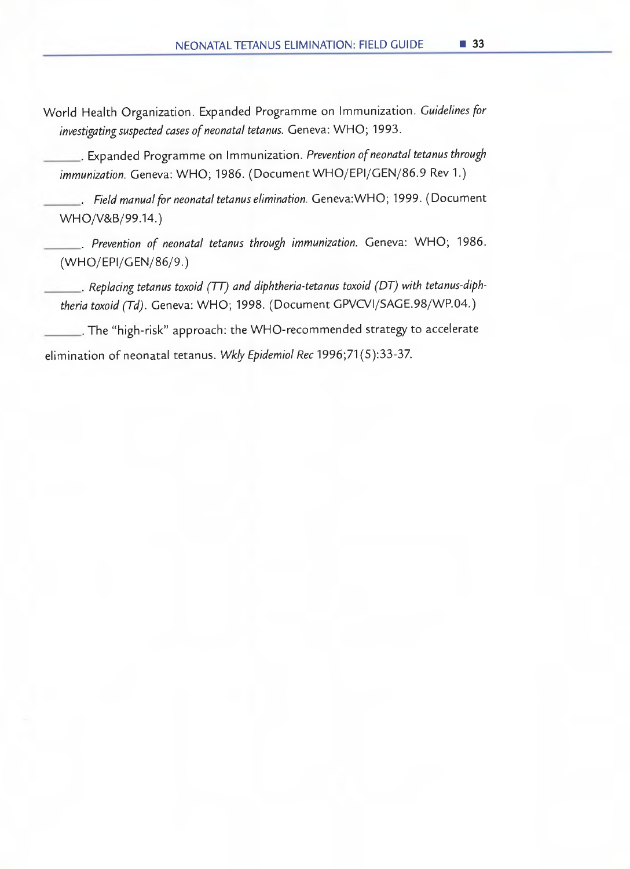World Health Organization. Expanded Programme on Immunization. Guidelines for investigating suspected cases of neonatal tetanus. Geneva: WHO; 1993.

• Expanded Programme on Immunization. Prevention of neonatal tetanus through immunization. Geneva: WHO; 1986. (Document WHO/EPI/GEN/86.9 Rev 1.)

. Field manual for neonatal tetanus elimination. Geneva:WHO; 1999. (Document WHO/V&B/99.14.)

Prevention of neonatal tetanus through immunization. Geneva: WHO; 1986. (WH0/EPI/GEN/86/9.)

 $\blacksquare$ . Replacing tetanus toxoid (TT) and diphtheria-tetanus toxoid (DT) with tetanus-diphtheria toxoid (Td). Geneva: WHO; 1998. (Document GPVCVI/SAGE.98/WP.04.)

The "high-risk" approach: the WHO-recommended strategy to accelerate elimination of neonatal tetanus. Wkly Epidemiol Rec 1996;71(5):33-37.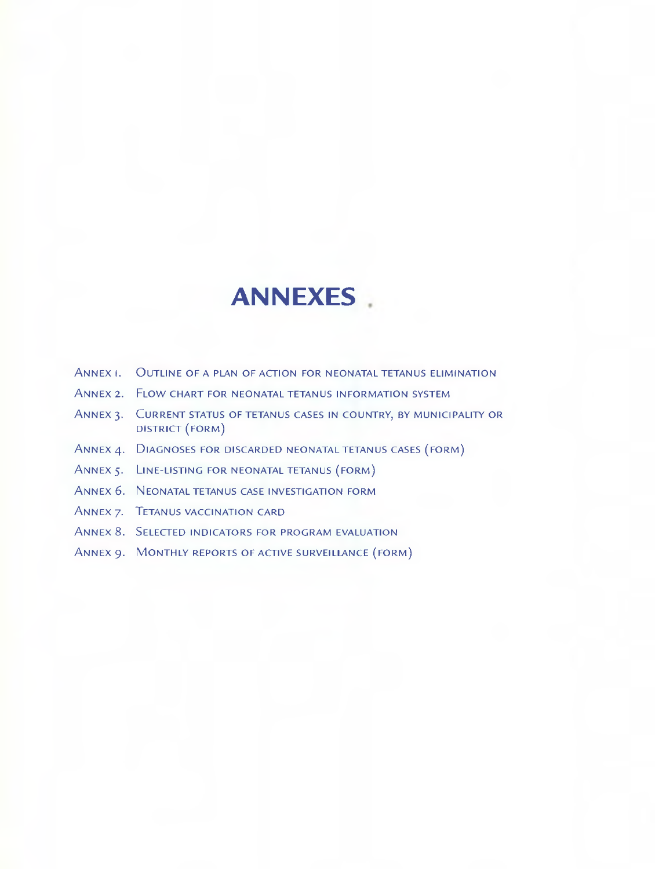## **ANNEXES**

- ANNEX 1. OUTLINE OF A PLAN OF ACTION FOR NEONATAL TETANUS ELIMINATION
- ANNEX 2. FLOW CHART FOR NEONATAL TETANUS INFORMATION SYSTEM
- ANNEX 3. CURRENT STATUS OF TETANUS CASES IN COUNTRY, BY MUNICIPALITY OR DISTRICT (F0RM)
- ANNEX 4. DIAGNOSES FOR DISCARDED NEONATAL TETANUS CASES (FORM)
- ANNEX 5. LINE-LISTING FOR NEONATAL TETANUS (FORM)
- ANNEX 6. NEONATAL TETANUS CASE INVESTIGATION FORM
- ANNEX 7. TETANUS VACCINATION CARO
- ANNEX S. SELECTED INDICATORS FOR PROGRAM EVALUATION
- ANNEX 9. MONTHLY REPORTS OF ACTIVE SURVEILLANCE (FORM)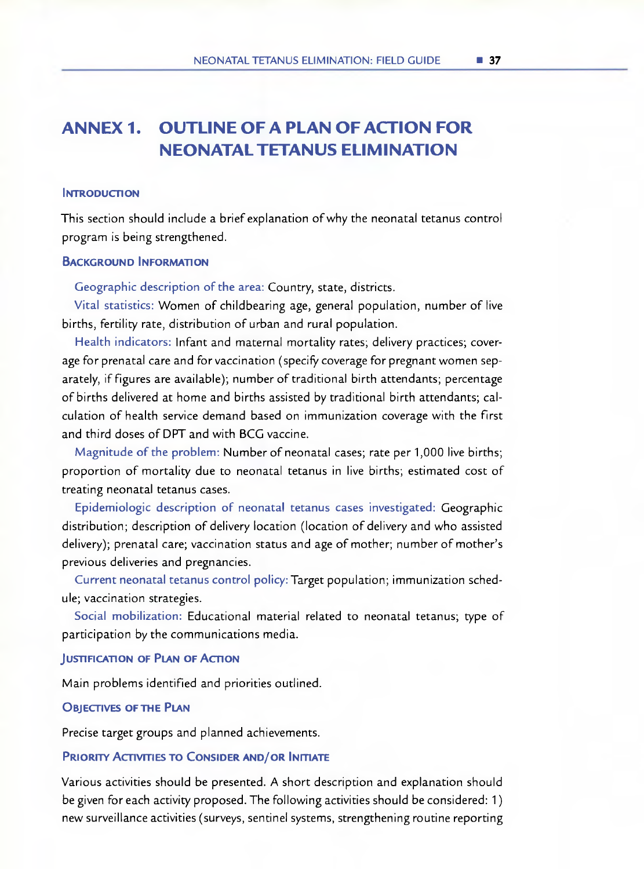## **ANNEX 1. OUTLINE OFA PLAN OFACTION FOR NEONATALTETANUS ELIMINATION**

#### **INTRODUCTION**

This section should include a brief explanation of why the neonatal tetanus control program is being strengthened.

#### **BACKGROUND INFORMATION**

Geographic description of the area: Country, state, districts.

Vital statistics: Women of childbearing age, general population, number of live births, fertility rate, distribution of urban and rural population.

Health indicators: lnfant and maternal mortality rates; delivery practices; coverage for prenatal care and for vaccination (specifv coverage for pregnant women separately, if figures are available); number of traditional birth attendants; percentage of births delivered at home and births assisted by traditional birth attendants; calculation of health service demand based on immunization coverage with the first and third doses of DPT and with BCG vaccine.

Magnitude of the problem: Number of neonatal cases; rate per 1,000 live births; proportion of mortality due to neonatal tetanus in live births; estimated cost of treating neonatal tetanus cases.

Epidemiologic description of neonatal tetanus cases investigated: Geographic distribution; description of delivery location (location of delivery and who assisted delivery); prenatal care; vaccination status and age of mother; number of mother's previous deliveries and pregnancies.

Current neonatal tetanus control policy: Target population; immunization schedule; vaccination strategies.

Social mobilization: Educational material related to neonatal tetanus; type of participation by the communications media.

#### **JUSTIFICATION OF PLAN OF ACTION**

Main problems identified and priorities outlined.

#### **OBJECTIVES OF THE PLAN**

Precise target groups and planned achievements.

#### **PRIORITY ACTIVITIES TO CONSIDER AND/OR INITIATE**

Various activities should be presented. A short description and explanation should be given for each activity proposed. The following activities should be considered: 1) new surveillance activities (surveys, sentinel systems, strengthening routine reporting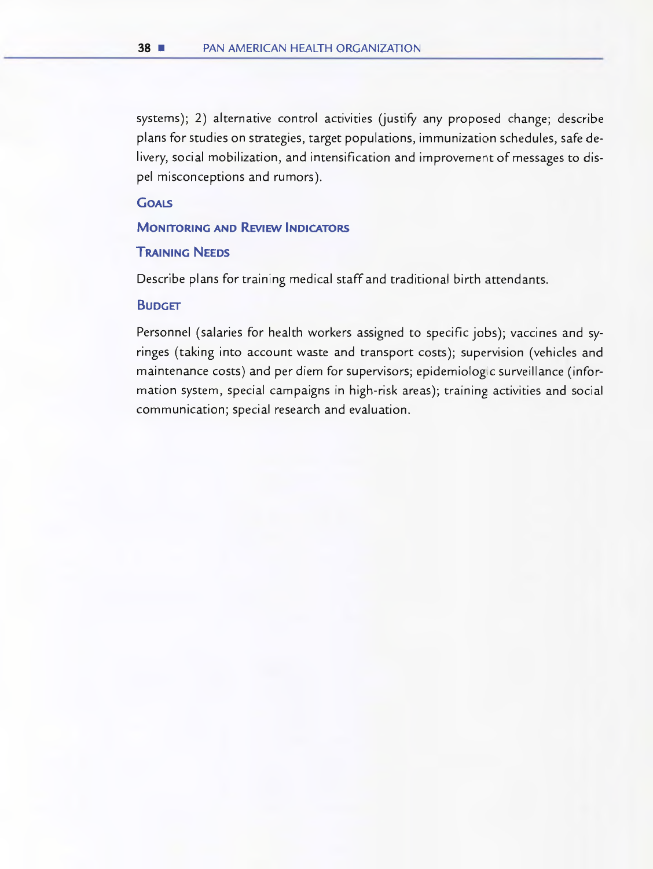systems); 2) alternative control activities (justify any proposed change; describe plans for studies on strategies, target populations, immunization schedules, safe delivery, social mobilization, and intensification and improvement of messages to dispel misconceptions and rumors).

#### **GOALS**

#### **MONITORING AND REVIEW INDICATORS**

#### **TRAINING NEEDS**

Describe plans for training medical staff and traditional birth attendants.

#### **BUDGET**

Personnel (salaries for health workers assigned to specific jobs); vaccines and syringes (taking into account waste and transport costs); supervision (vehicles and maintenance costs) and per diem for supervisors; epidemiologic surveillance (information system, special campaigns in high-risk areas); training activities and social communication; special research and evaluation.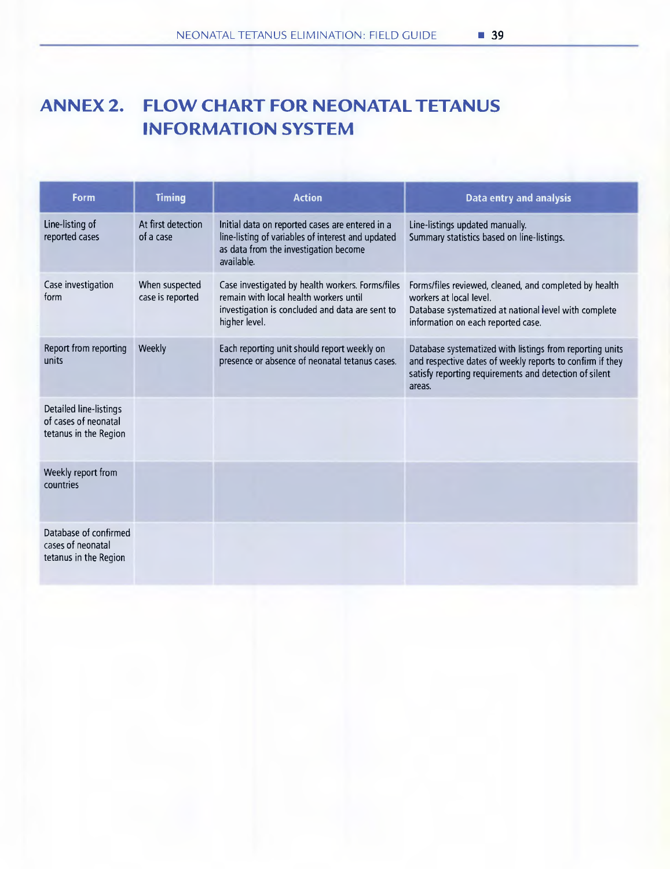## **ANNEX 2. FLOW CHART FOR NEONATALTETANUS INFORMATION SYSTEM**

| Form                                                                    | <b>Timing</b>                      | <b>Action</b>                                                                                                                                                  | Data entry and analysis                                                                                                                                                                   |
|-------------------------------------------------------------------------|------------------------------------|----------------------------------------------------------------------------------------------------------------------------------------------------------------|-------------------------------------------------------------------------------------------------------------------------------------------------------------------------------------------|
| Line-listing of<br>reported cases                                       | At first detection<br>of a case    | Initial data on reported cases are entered in a<br>line-listing of variables of interest and updated<br>as data from the investigation become<br>available.    | Line-listings updated manually.<br>Summary statistics based on line-listings.                                                                                                             |
| Case investigation<br>form                                              | When suspected<br>case is reported | Case investigated by health workers. Forms/files<br>remain with local health workers until<br>investigation is concluded and data are sent to<br>higher level. | Forms/files reviewed, cleaned, and completed by health<br>workers at local level.<br>Database systematized at national level with complete<br>information on each reported case.          |
| Report from reporting<br>units                                          | Weekly                             | Each reporting unit should report weekly on<br>presence or absence of neonatal tetanus cases.                                                                  | Database systematized with listings from reporting units<br>and respective dates of weekly reports to confirm if they<br>satisfy reporting requirements and detection of silent<br>areas. |
| Detailed line-listings<br>of cases of neonatal<br>tetanus in the Region |                                    |                                                                                                                                                                |                                                                                                                                                                                           |
| Weekly report from<br>countries                                         |                                    |                                                                                                                                                                |                                                                                                                                                                                           |
| Database of confirmed<br>cases of neonatal<br>tetanus in the Region     |                                    |                                                                                                                                                                |                                                                                                                                                                                           |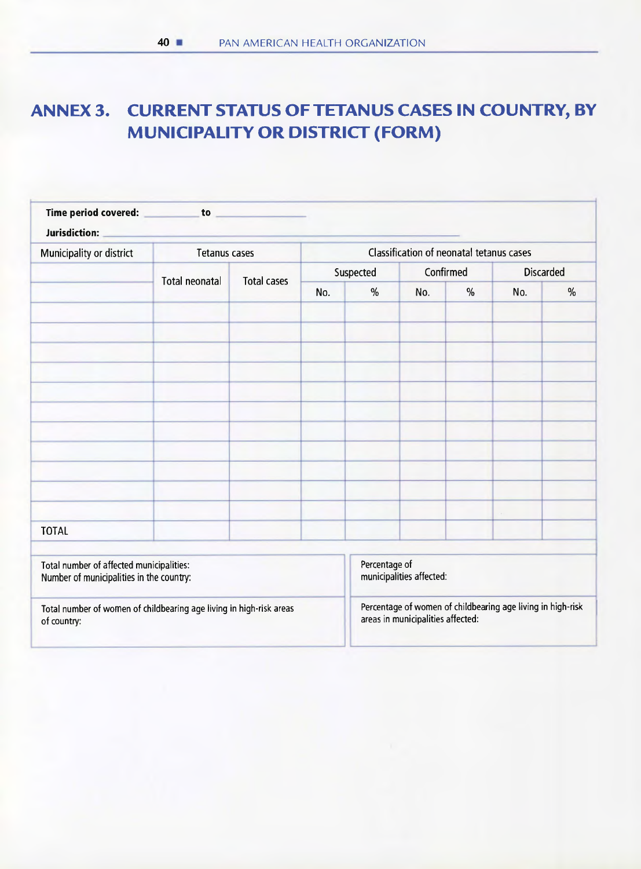## ANNEX 3. CURRENT STATUS OF TETANUS CASES UN COUNTRY, BY MUNICIPALITY OR DISTRICT (FORM)

| Time period covered: Time beriod covered:<br>Jurisdiction:                           |                      |                                          |                                                                                                  |               |                          |      |                  |               |
|--------------------------------------------------------------------------------------|----------------------|------------------------------------------|--------------------------------------------------------------------------------------------------|---------------|--------------------------|------|------------------|---------------|
| Municipality or district                                                             | <b>Tetanus cases</b> | Classification of neonatal tetanus cases |                                                                                                  |               |                          |      |                  |               |
|                                                                                      | Total neonatal       | <b>Total cases</b>                       | Suspected                                                                                        |               | Confirmed                |      | <b>Discarded</b> |               |
|                                                                                      |                      |                                          | No.                                                                                              | $\frac{0}{0}$ | No.                      | $\%$ | No.              | $\frac{0}{0}$ |
|                                                                                      |                      |                                          |                                                                                                  |               |                          |      |                  |               |
|                                                                                      |                      |                                          |                                                                                                  |               |                          |      |                  |               |
|                                                                                      |                      |                                          |                                                                                                  |               |                          |      |                  |               |
|                                                                                      |                      |                                          |                                                                                                  |               |                          |      |                  |               |
|                                                                                      |                      |                                          |                                                                                                  |               |                          |      |                  |               |
|                                                                                      |                      |                                          |                                                                                                  |               |                          |      |                  |               |
|                                                                                      |                      |                                          |                                                                                                  |               |                          |      |                  |               |
|                                                                                      |                      |                                          |                                                                                                  |               |                          |      |                  |               |
|                                                                                      |                      |                                          |                                                                                                  |               |                          |      |                  |               |
|                                                                                      |                      |                                          |                                                                                                  |               |                          |      |                  |               |
|                                                                                      |                      |                                          |                                                                                                  |               |                          |      | $\sim$           |               |
| <b>TOTAL</b>                                                                         |                      |                                          |                                                                                                  |               |                          |      |                  |               |
| Total number of affected municipalities:<br>Number of municipalities in the country: |                      |                                          |                                                                                                  | Percentage of | municipalities affected: |      |                  |               |
| Total number of women of childbearing age living in high-risk areas<br>of country:   |                      |                                          | Percentage of women of childbearing age living in high-risk<br>areas in municipalities affected: |               |                          |      |                  |               |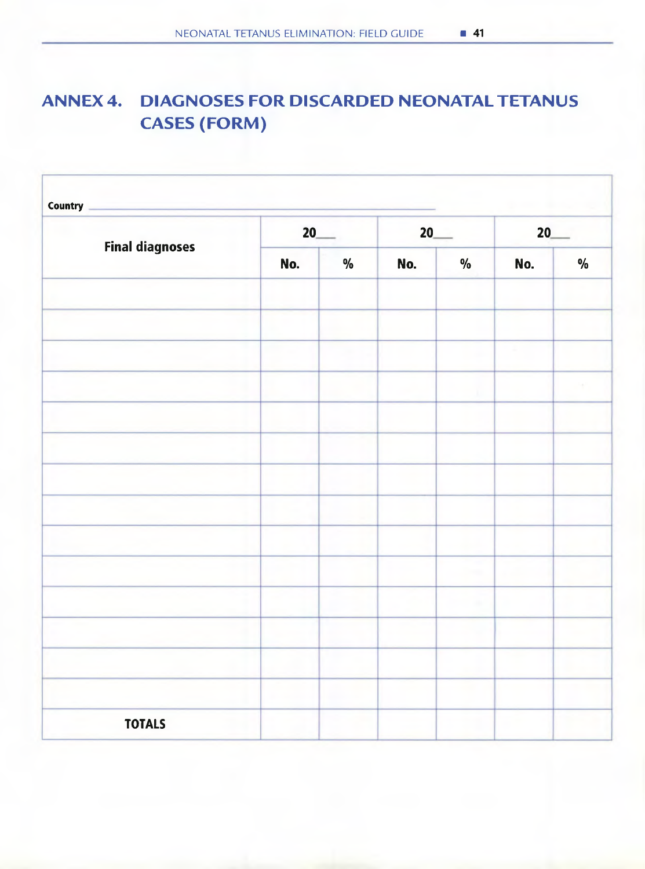## **ANNEX4. DIAGNOSES FOR DISCARDED NEONATALTETANUS CASES (FORM)**

| <b>Final diagnoses</b> | $20$ <sub>——</sub> |               | $20$ <sub>—</sub> |               | 20  |               |
|------------------------|--------------------|---------------|-------------------|---------------|-----|---------------|
|                        | No.                | $\frac{0}{0}$ | No.               | $\frac{0}{0}$ | No. | $\frac{0}{0}$ |
|                        |                    |               |                   |               |     |               |
|                        |                    |               |                   |               |     |               |
|                        |                    |               |                   |               |     |               |
|                        |                    |               |                   |               |     |               |
|                        |                    |               |                   |               |     |               |
|                        |                    |               |                   |               |     |               |
|                        |                    |               |                   |               |     |               |
|                        |                    |               |                   |               |     |               |
|                        |                    |               |                   |               |     |               |
|                        |                    |               |                   |               |     |               |
|                        |                    |               |                   |               |     |               |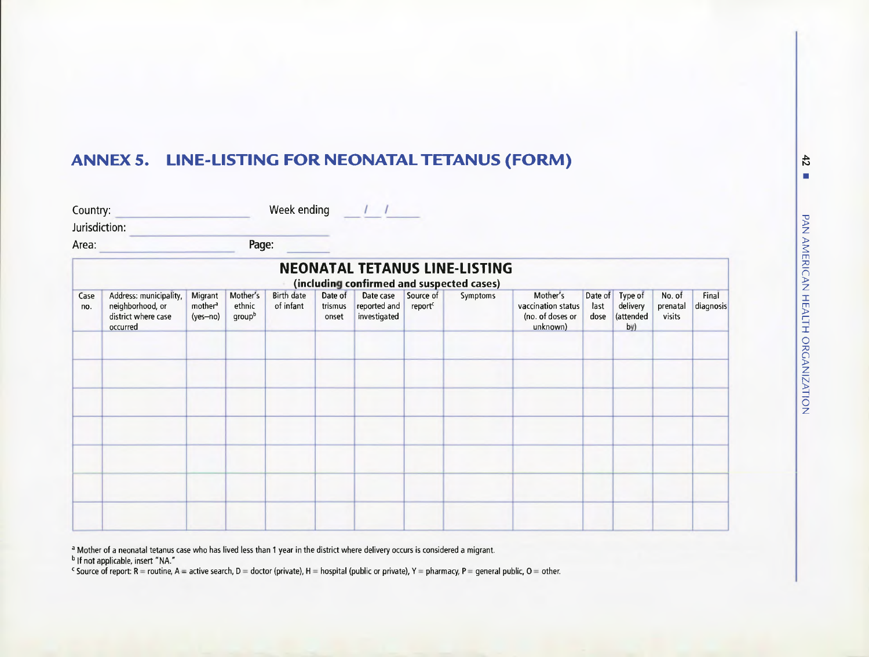## **ANNEX 5. LINE-LISTING FOR NEONATALTETANUS (FORM)**

| Week ending |
|-------------|
|             |

Jurisdiction:

Area: **Page: Page:** 

|             |                                                                               |                                            |                              |                                |                             |                                           |                                  | <b>NEONATAL TETANUS LINE-LISTING</b><br>(including confirmed and suspected cases) |                                                                |                         |                                         |                              |                    |
|-------------|-------------------------------------------------------------------------------|--------------------------------------------|------------------------------|--------------------------------|-----------------------------|-------------------------------------------|----------------------------------|-----------------------------------------------------------------------------------|----------------------------------------------------------------|-------------------------|-----------------------------------------|------------------------------|--------------------|
| Case<br>no. | Address: municipality,<br>neighborhood, or<br>district where case<br>occurred | Migrant<br>mother <sup>a</sup><br>(yes-no) | Mother's<br>ethnic<br>groupb | <b>Birth date</b><br>of infant | Date of<br>trismus<br>onset | Date case<br>reported and<br>investigated | Source of<br>report <sup>c</sup> | Symptoms                                                                          | Mother's<br>vaccination status<br>(no. of doses or<br>unknown) | Date of<br>last<br>dose | Type of<br>delivery<br>(attended<br>by) | No. of<br>prenatal<br>visits | Final<br>diagnosis |
|             |                                                                               |                                            |                              |                                |                             |                                           |                                  |                                                                                   |                                                                |                         |                                         |                              |                    |
|             |                                                                               |                                            |                              |                                |                             |                                           |                                  |                                                                                   |                                                                |                         |                                         |                              |                    |
|             |                                                                               |                                            |                              |                                |                             |                                           |                                  |                                                                                   |                                                                |                         |                                         |                              |                    |
|             |                                                                               |                                            |                              |                                |                             |                                           |                                  |                                                                                   |                                                                |                         |                                         |                              |                    |
|             |                                                                               |                                            |                              |                                |                             |                                           |                                  |                                                                                   |                                                                |                         |                                         |                              |                    |

<sup>a</sup> Mother of a neonatal tetanus case who has lived less than 1 year in the district where delivery occurs is considered a migrant.

<sup>b</sup> If not applicable, insert "NA."

Source of report: R = routine, A = active search, D = doctor (private), H = hospital (public or private), Y = pharmacy, P = general public, O = other.

 $\ddot{4}$  $\overline{\phantom{a}}$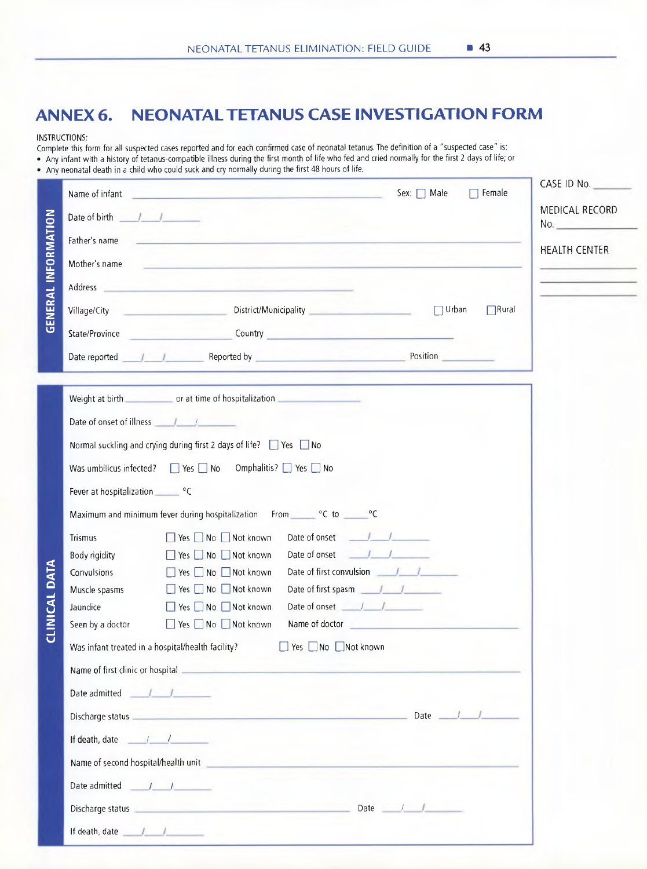## **ANNEX 6. NEONATALTETANUS CASE INVESTIGATION FORM**

#### INSTRUCTIONS:

Complete this form for all suspected cases reported and for each confirmed case of neonatal tetanus. The definition of a "suspected case" is: • Any infant with a history of tetanus-compatible illness during the first month of life who fed and cried normally for the first 2 days of life; or • Any neonatal death in a child who could suck and cry normally during the first 48 hours of life.

|                            | Name of infant                                                                                                                                                                                                                                                                                                                                                                                                    | Sex: □ Male<br>$\Box$ Female<br><u> 1960 - John Stein, Amerikaansk politiker (</u>                                                                                                                                                                                            | CASE ID NO.                       |
|----------------------------|-------------------------------------------------------------------------------------------------------------------------------------------------------------------------------------------------------------------------------------------------------------------------------------------------------------------------------------------------------------------------------------------------------------------|-------------------------------------------------------------------------------------------------------------------------------------------------------------------------------------------------------------------------------------------------------------------------------|-----------------------------------|
|                            | Date of birth $\frac{1}{2}$                                                                                                                                                                                                                                                                                                                                                                                       |                                                                                                                                                                                                                                                                               | MEDICAL RECORD<br>No.             |
|                            | Father's name                                                                                                                                                                                                                                                                                                                                                                                                     | <u> 1980 - Samuel Alexandria (h. 1980).</u><br>Demografia                                                                                                                                                                                                                     | <b>HEALTH CENTER</b>              |
|                            | Mother's name                                                                                                                                                                                                                                                                                                                                                                                                     | <u> Andreas Artista (m. 1958)</u>                                                                                                                                                                                                                                             |                                   |
|                            |                                                                                                                                                                                                                                                                                                                                                                                                                   | Address and the contract of the contract of the contract of the contract of the contract of the contract of the                                                                                                                                                               | and the company of the company of |
| <b>GENERAL INFORMATION</b> |                                                                                                                                                                                                                                                                                                                                                                                                                   | Village/City Channel District/Municipality Channel Communicipality<br>$\Box$ Urban<br>$\Box$ Rural                                                                                                                                                                            |                                   |
|                            |                                                                                                                                                                                                                                                                                                                                                                                                                   | State/Province Country Country Country                                                                                                                                                                                                                                        |                                   |
|                            |                                                                                                                                                                                                                                                                                                                                                                                                                   | Date reported 11 1 Reported by Reported by Position<br><u> 1989 - Andrea San Angel, angelski matematik (d. 1989)</u>                                                                                                                                                          |                                   |
|                            |                                                                                                                                                                                                                                                                                                                                                                                                                   | the contract of the contract of the contract of the contract of the contract of<br>Weight at birth contact or at time of hospitalization                                                                                                                                      |                                   |
|                            | Date of onset of illness <u>January Community of the Unit</u>                                                                                                                                                                                                                                                                                                                                                     |                                                                                                                                                                                                                                                                               |                                   |
|                            |                                                                                                                                                                                                                                                                                                                                                                                                                   | Normal suckling and crying during first 2 days of life? $\Box$ Yes $\Box$ No                                                                                                                                                                                                  |                                   |
|                            |                                                                                                                                                                                                                                                                                                                                                                                                                   | Was umbilicus infected?   Yes   No Omphalitis?   Yes   No                                                                                                                                                                                                                     |                                   |
|                            | Fever at hospitalization CC                                                                                                                                                                                                                                                                                                                                                                                       |                                                                                                                                                                                                                                                                               |                                   |
|                            |                                                                                                                                                                                                                                                                                                                                                                                                                   | Maximum and minimum fever during hospitalization From CC to CCC                                                                                                                                                                                                               |                                   |
|                            | Trismus                                                                                                                                                                                                                                                                                                                                                                                                           | Date of onset <u>July</u><br>■ Yes ■ No ■ Not known                                                                                                                                                                                                                           |                                   |
|                            | Body rigidity                                                                                                                                                                                                                                                                                                                                                                                                     | Date of onset <u>July</u><br>■ Yes ■ No ■ Not known                                                                                                                                                                                                                           |                                   |
| <b>CLINICAL DATA</b>       | Convulsions                                                                                                                                                                                                                                                                                                                                                                                                       | ■ Yes ■ No ■ Not known                                                                                                                                                                                                                                                        |                                   |
|                            | Muscle spasms                                                                                                                                                                                                                                                                                                                                                                                                     | Date of first spasm 11<br>$\Box$ Yes $\Box$ No $\Box$ Not known                                                                                                                                                                                                               |                                   |
|                            | Jaundice                                                                                                                                                                                                                                                                                                                                                                                                          | □ Yes □ No □ Not known                                                                                                                                                                                                                                                        |                                   |
|                            | Seen by a doctor                                                                                                                                                                                                                                                                                                                                                                                                  | Name of doctor and the contract of the contract of the contract of the contract of the contract of the contract of the contract of the contract of the contract of the contract of the contract of the contract of the contrac<br>$\Box$ Yes $\Box$ No $\Box$ Not known       |                                   |
|                            | Was infant treated in a hospital/health facility?                                                                                                                                                                                                                                                                                                                                                                 | □ Yes □ No □ Not known                                                                                                                                                                                                                                                        |                                   |
|                            | Name of first clinic or hospital                                                                                                                                                                                                                                                                                                                                                                                  |                                                                                                                                                                                                                                                                               |                                   |
|                            | Date admitted / / /                                                                                                                                                                                                                                                                                                                                                                                               |                                                                                                                                                                                                                                                                               |                                   |
|                            |                                                                                                                                                                                                                                                                                                                                                                                                                   | Date $\frac{1}{\sqrt{1-\frac{1}{2}}}$<br>Discharge status <b>and the contract of the contract of the contract of the contract of the contract of the contract of the contract of the contract of the contract of the contract of the contract of the contract of the cont</b> |                                   |
|                            | If death, date $\frac{1}{\sqrt{1-\frac{1}{2}}}\frac{1}{\sqrt{1-\frac{1}{2}}}\frac{1}{\sqrt{1-\frac{1}{2}}}\frac{1}{\sqrt{1-\frac{1}{2}}}\frac{1}{\sqrt{1-\frac{1}{2}}}\frac{1}{\sqrt{1-\frac{1}{2}}}\frac{1}{\sqrt{1-\frac{1}{2}}}\frac{1}{\sqrt{1-\frac{1}{2}}}\frac{1}{\sqrt{1-\frac{1}{2}}}\frac{1}{\sqrt{1-\frac{1}{2}}}\frac{1}{\sqrt{1-\frac{1}{2}}}\frac{1}{\sqrt{1-\frac{1}{2}}}\frac{1}{\sqrt{1-\frac{1$ |                                                                                                                                                                                                                                                                               |                                   |
|                            | Name of second hospital/health unit                                                                                                                                                                                                                                                                                                                                                                               |                                                                                                                                                                                                                                                                               |                                   |
|                            | Date admitted $\frac{1}{\sqrt{1-\frac{1}{2}}}$                                                                                                                                                                                                                                                                                                                                                                    |                                                                                                                                                                                                                                                                               |                                   |
|                            |                                                                                                                                                                                                                                                                                                                                                                                                                   | Discharge status <b>and the contract of the contract of the contract of the contract of the contract of the contract of the contract of the contract of the contract of the contract of the contract of the contract of the cont</b><br>Date $\frac{1}{\sqrt{1-\frac{1}{2}}}$ |                                   |
|                            |                                                                                                                                                                                                                                                                                                                                                                                                                   | If death, date the state of the state of the state of the state of the state of the state of the state of the state of the state of the state of the state of the state of the state of the state of the state of the state of                                                |                                   |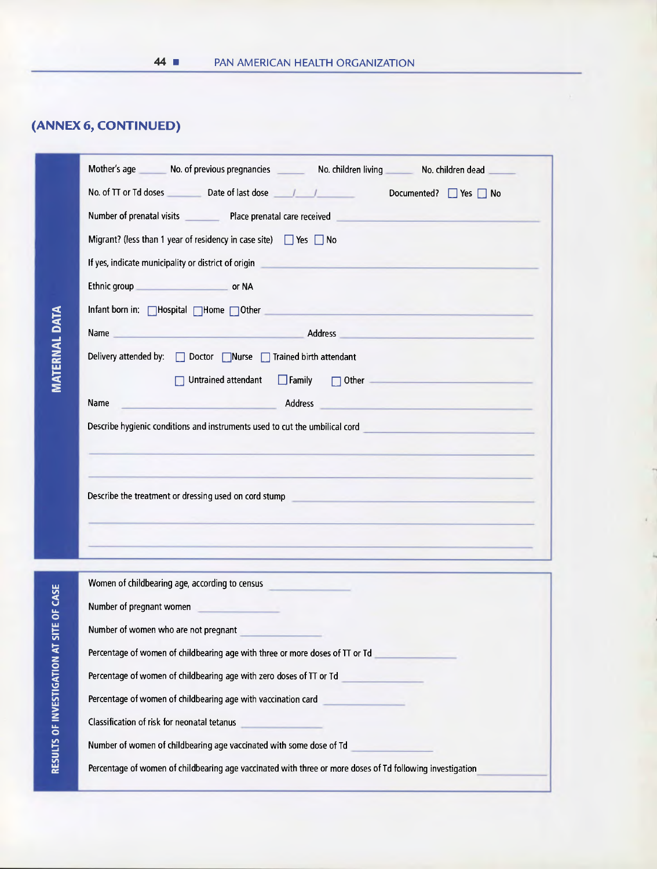## **(ANNEX 6, CONTINUED)**

|                            | Mother's age ________ No. of previous pregnancies __________ No. children living ________ No. children dead __                                                                         |  |
|----------------------------|----------------------------------------------------------------------------------------------------------------------------------------------------------------------------------------|--|
|                            | No. of TT or Td doses Date of last dose<br><u>J</u> / Documented? ■ Yes ■ No                                                                                                           |  |
|                            | Number of prenatal visits Place prenatal care received                                                                                                                                 |  |
|                            | Migrant? (less than 1 year of residency in case site) $\Box$ Yes $\Box$ No                                                                                                             |  |
|                            | If yes, indicate municipality or district of origin                                                                                                                                    |  |
|                            | Ethnic group or NA                                                                                                                                                                     |  |
|                            | Infant born in: $\Box$ Hospital $\Box$ Home $\Box$ Other                                                                                                                               |  |
|                            | Name Address Address Address Address Address Address Address Address Address Address Address Address Address A                                                                         |  |
| <b>MAIEKNAL DAIA</b>       | Delivery attended by: Doctor Nurse Trained birth attendant                                                                                                                             |  |
|                            | $\Box$ Family<br>Untrained attendant<br>$\Box$ Other $\Box$                                                                                                                            |  |
|                            | Address<br>Name<br><u>a shekara ta 1989 a tsara tsara tsara tsara tsara tsara tsara tsara tsara tsara tsara tsara tsara tsara tsara </u>                                               |  |
|                            | Describe hygienic conditions and instruments used to cut the umbilical cord <b>Constitution</b> Constitution of the Unit                                                               |  |
|                            | Describe the treatment or dressing used on cord stump<br><u> 1989 - An Dùbhlachd an Dùbhlachd an Dùbhlachd ann an Dùbhlachd ann an Dùbhlachd ann an Dùbhlachd ann an Dùbhlachd an </u> |  |
|                            | <u>a kasana ang pagbabang pangalang nagpagpang pangalang nagpagpang pangalang nagpagpang pangalang nagpagpang na</u>                                                                   |  |
|                            | Women of childbearing age, according to census                                                                                                                                         |  |
| <b>SILE UF LASE</b>        | Number of pregnant women                                                                                                                                                               |  |
|                            | Number of women who are not pregnant                                                                                                                                                   |  |
|                            | Percentage of women of childbearing age with three or more doses of TT or Td                                                                                                           |  |
|                            | Percentage of women of childbearing age with zero doses of TT or Td                                                                                                                    |  |
|                            | Percentage of women of childbearing age with vaccination card                                                                                                                          |  |
|                            | Classification of risk for neonatal tetanus                                                                                                                                            |  |
| KESULIS UF INVESTIGATIUN A | Number of women of childbearing age vaccinated with some dose of Td                                                                                                                    |  |
|                            | Percentage of women of childbearing age vaccinated with three or more doses of Td following investigation                                                                              |  |

í,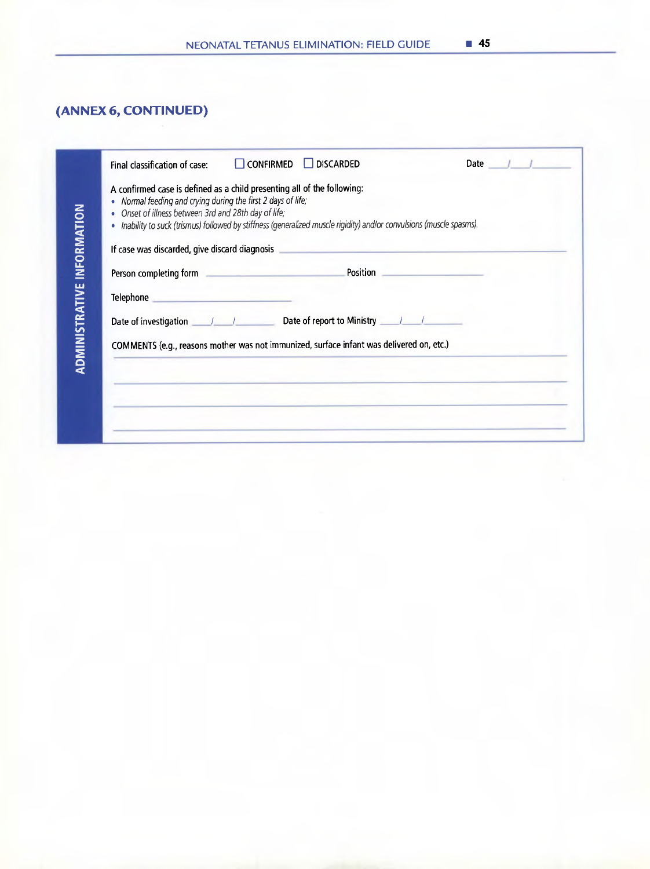|  |  | NEONATAL TETANUS ELIMINATION: FIELD GUIDE | $\blacksquare$ 45 |
|--|--|-------------------------------------------|-------------------|
|--|--|-------------------------------------------|-------------------|

## **(ANNEX6, CONTINUED)**

| Final classification of case:                                                                                                                                                                                                      | $\Box$ CONFIRMED $\Box$ DISCARDED | Date $\sqrt{1}$ |
|------------------------------------------------------------------------------------------------------------------------------------------------------------------------------------------------------------------------------------|-----------------------------------|-----------------|
| A confirmed case is defined as a child presenting all of the following:<br>Normal feeding and crying during the first 2 days of life;                                                                                              |                                   |                 |
| • Onset of illness between 3rd and 28th day of life;                                                                                                                                                                               |                                   |                 |
| · Inability to suck (trismus) followed by stiffness (generalized muscle rigidity) and/or convulsions (muscle spasms).                                                                                                              |                                   |                 |
| If case was discarded, give discard diagnosis entertainment and the control of the control of the control of the                                                                                                                   |                                   |                 |
|                                                                                                                                                                                                                                    |                                   |                 |
| Telephone <b>Andrea Contract Contract Contract Contract Contract Contract Contract Contract Contract Contract Contract Contract Contract Contract Contract Contract Contract Contract Contract Contract Contract Contract Cont</b> |                                   |                 |
|                                                                                                                                                                                                                                    |                                   |                 |
| COMMENTS (e.g., reasons mother was not immunized, surface infant was delivered on, etc.)                                                                                                                                           |                                   |                 |
|                                                                                                                                                                                                                                    |                                   |                 |
|                                                                                                                                                                                                                                    |                                   |                 |
|                                                                                                                                                                                                                                    |                                   |                 |
|                                                                                                                                                                                                                                    |                                   |                 |
|                                                                                                                                                                                                                                    |                                   |                 |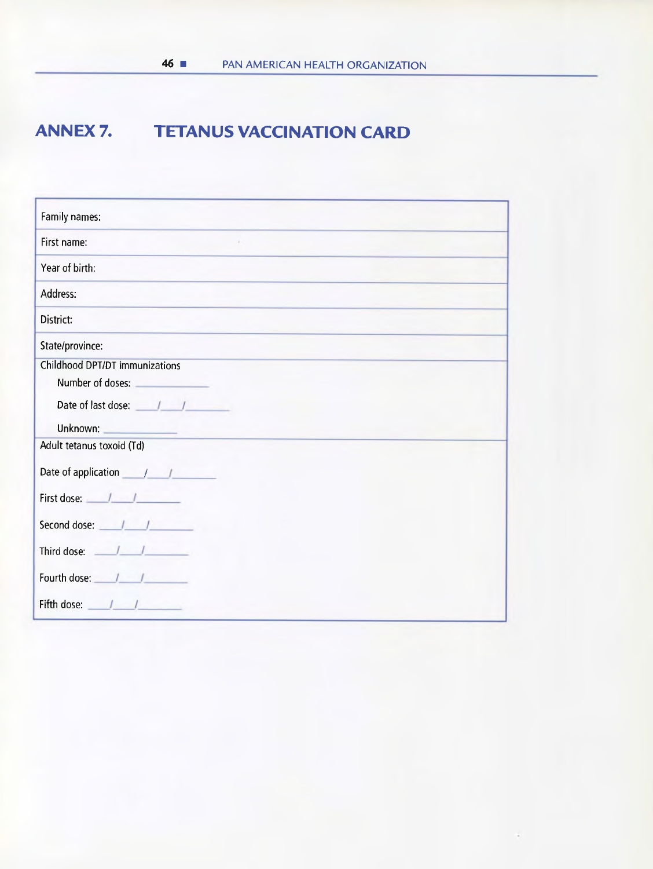## **ANNEX 7. TETANUS VACCINATION CARD**

| Family names:                  |
|--------------------------------|
| First name:                    |
| Year of birth:                 |
| Address:                       |
| District:                      |
| State/province:                |
| Childhood DPT/DT immunizations |
| Number of doses:               |
| Date of last dose:             |
| Unknown:                       |
| Adult tetanus toxoid (Td)      |
| Date of application            |
| First dose: /                  |
| Second dose:                   |
| Third dose:                    |
| Fourth dose:                   |
| Fifth dose:                    |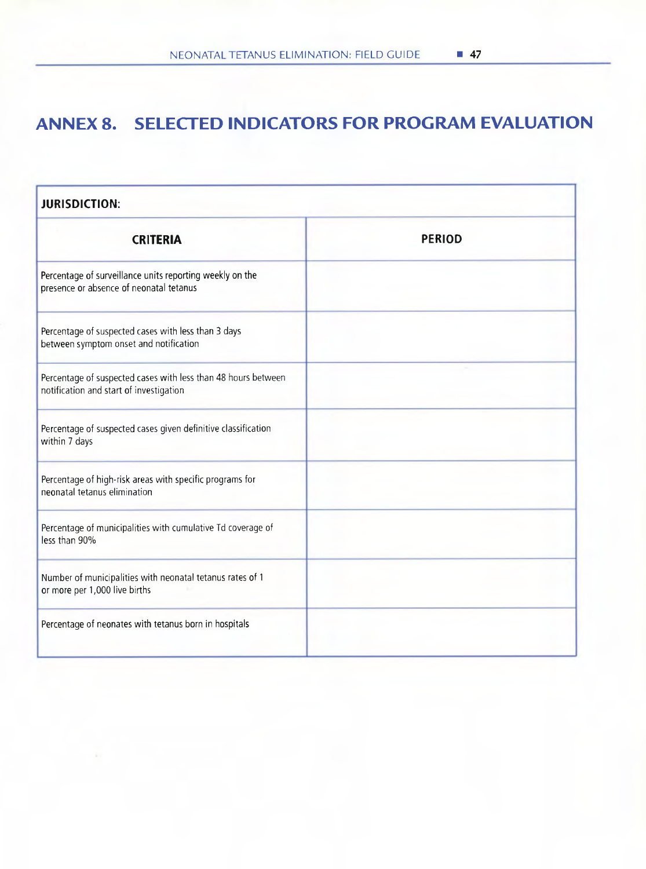## **ANNEX 8. SELECTED INDICATORS FOR PROGRAM EVALUATION**

| <b>JURISDICTION:</b>                                                                                     |               |  |  |  |  |  |  |
|----------------------------------------------------------------------------------------------------------|---------------|--|--|--|--|--|--|
| <b>CRITERIA</b>                                                                                          | <b>PERIOD</b> |  |  |  |  |  |  |
| Percentage of surveillance units reporting weekly on the<br>presence or absence of neonatal tetanus      |               |  |  |  |  |  |  |
| Percentage of suspected cases with less than 3 days<br>between symptom onset and notification            |               |  |  |  |  |  |  |
| Percentage of suspected cases with less than 48 hours between<br>notification and start of investigation |               |  |  |  |  |  |  |
| Percentage of suspected cases given definitive classification<br>within 7 days                           |               |  |  |  |  |  |  |
| Percentage of high-risk areas with specific programs for<br>neonatal tetanus elimination                 |               |  |  |  |  |  |  |
| Percentage of municipalities with cumulative Td coverage of<br>less than 90%                             |               |  |  |  |  |  |  |
| Number of municipalities with neonatal tetanus rates of 1<br>or more per 1,000 live births               |               |  |  |  |  |  |  |
| Percentage of neonates with tetanus born in hospitals                                                    |               |  |  |  |  |  |  |